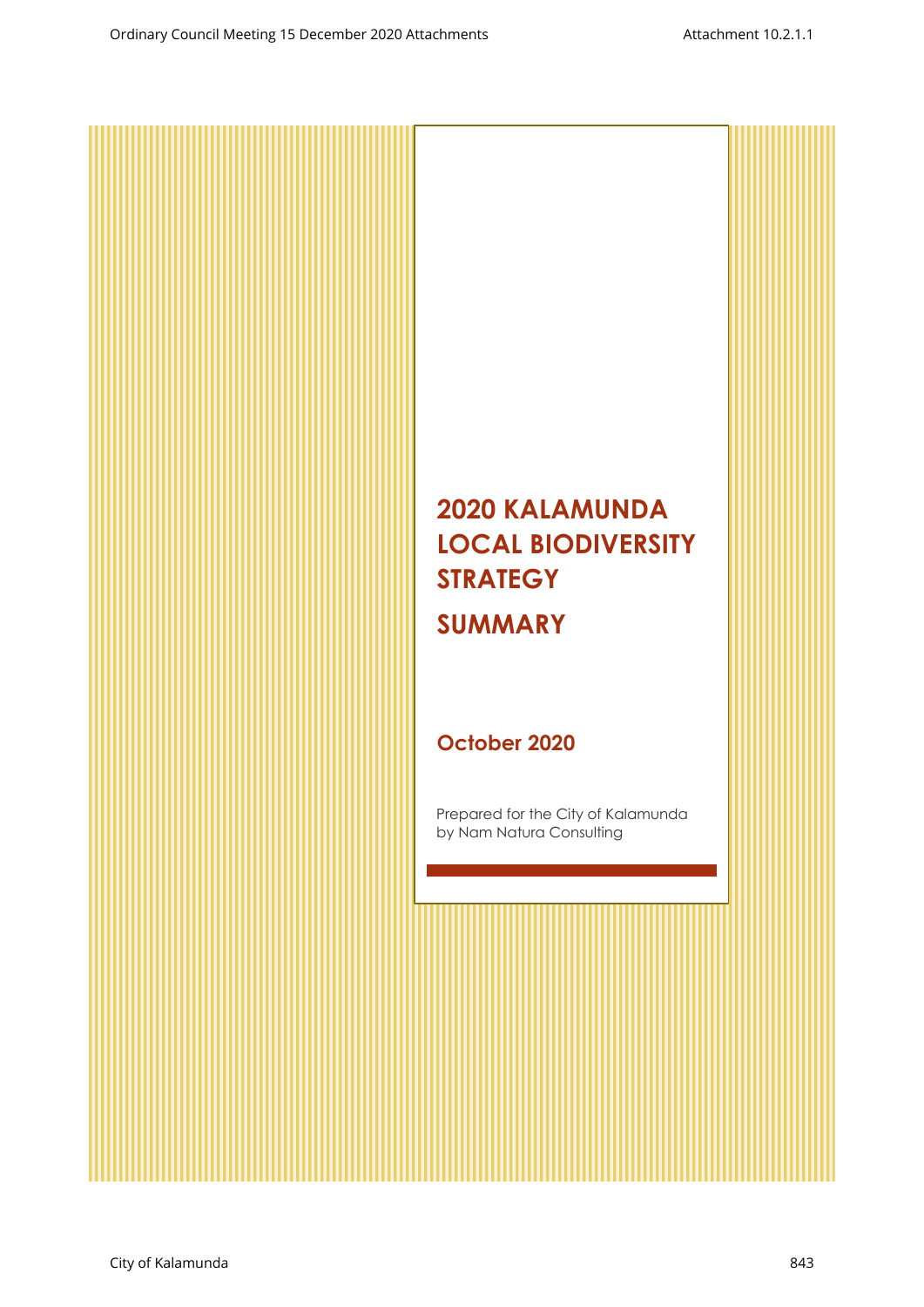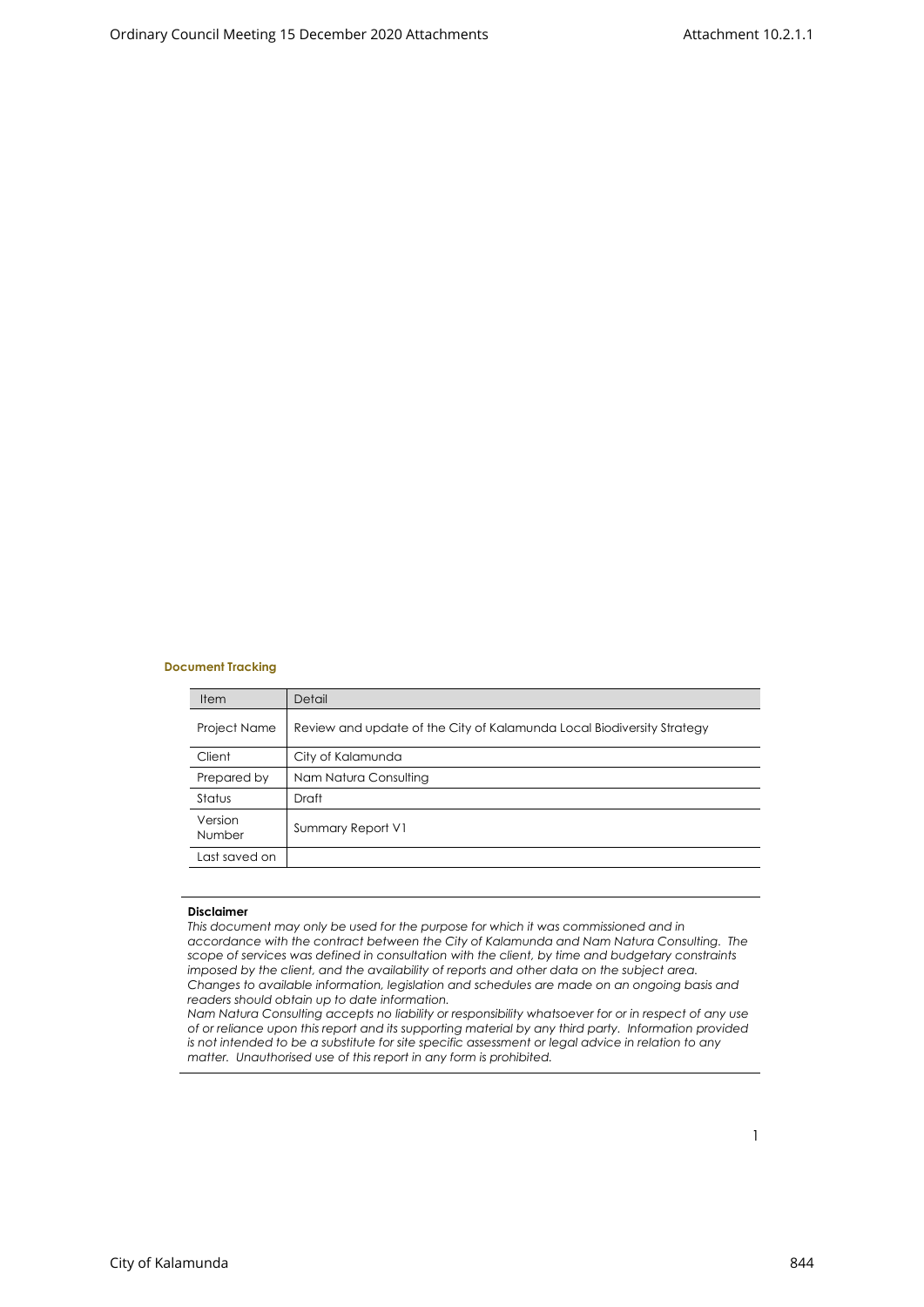#### **Document Tracking**

| <b>Item</b>         | Detail                                                                 |
|---------------------|------------------------------------------------------------------------|
| <b>Project Name</b> | Review and update of the City of Kalamunda Local Biodiversity Strategy |
| Client              | City of Kalamunda                                                      |
| Prepared by         | Nam Natura Consulting                                                  |
| Status              | Draft                                                                  |
| Version<br>Number   | Summary Report V1                                                      |
| Last saved on       |                                                                        |
|                     |                                                                        |

#### **Disclaimer**

*This document may only be used for the purpose for which it was commissioned and in accordance with the contract between the City of Kalamunda and Nam Natura Consulting. The scope of services was defined in consultation with the client, by time and budgetary constraints imposed by the client, and the availability of reports and other data on the subject area. Changes to available information, legislation and schedules are made on an ongoing basis and readers should obtain up to date information.*

*Nam Natura Consulting accepts no liability or responsibility whatsoever for or in respect of any use of or reliance upon this report and its supporting material by any third party. Information provided is not intended to be a substitute for site specific assessment or legal advice in relation to any matter. Unauthorised use of this report in any form is prohibited.*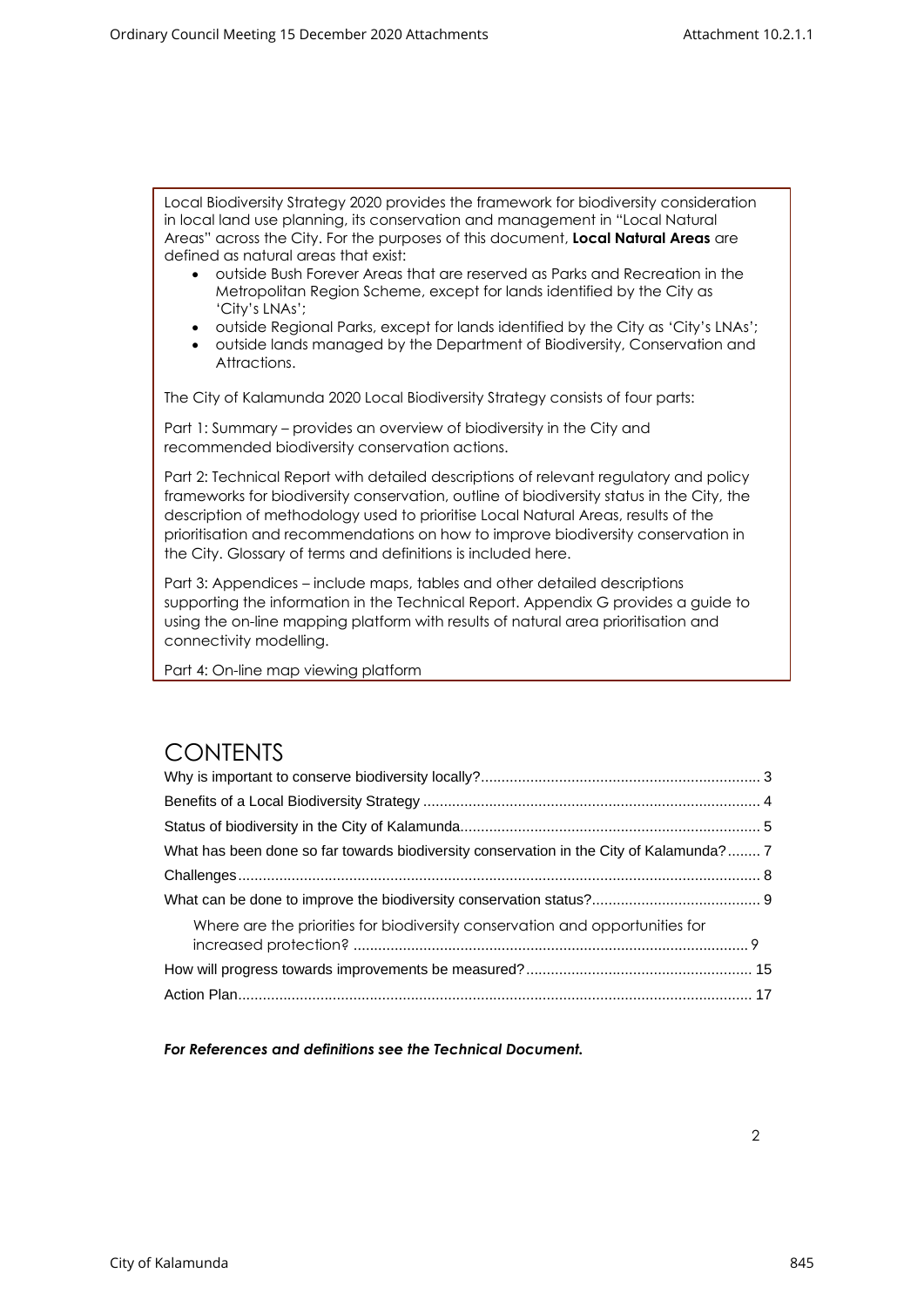Local Biodiversity Strategy 2020 provides the framework for biodiversity consideration in local land use planning, its conservation and management in "Local Natural Areas" across the City. For the purposes of this document, **Local Natural Areas** are defined as natural areas that exist:

- outside Bush Forever Areas that are reserved as Parks and Recreation in the Metropolitan Region Scheme, except for lands identified by the City as 'City's LNAs';
- outside Regional Parks, except for lands identified by the City as 'City's LNAs';
- outside lands managed by the Department of Biodiversity, Conservation and Attractions.

The City of Kalamunda 2020 Local Biodiversity Strategy consists of four parts:

Part 1: Summary – provides an overview of biodiversity in the City and recommended biodiversity conservation actions.

Part 2: Technical Report with detailed descriptions of relevant regulatory and policy frameworks for biodiversity conservation, outline of biodiversity status in the City, the description of methodology used to prioritise Local Natural Areas, results of the prioritisation and recommendations on how to improve biodiversity conservation in the City. Glossary of terms and definitions is included here.

Part 3: Appendices – include maps, tables and other detailed descriptions supporting the information in the Technical Report. Appendix G provides a guide to using the on-line mapping platform with results of natural area prioritisation and connectivity modelling.

Part 4: On-line map viewing platform

#### **CONTENTS**

| What has been done so far towards biodiversity conservation in the City of Kalamunda? 7 |  |
|-----------------------------------------------------------------------------------------|--|
|                                                                                         |  |
|                                                                                         |  |
| Where are the priorities for biodiversity conservation and opportunities for            |  |
|                                                                                         |  |
|                                                                                         |  |

*For References and definitions see the Technical Document.*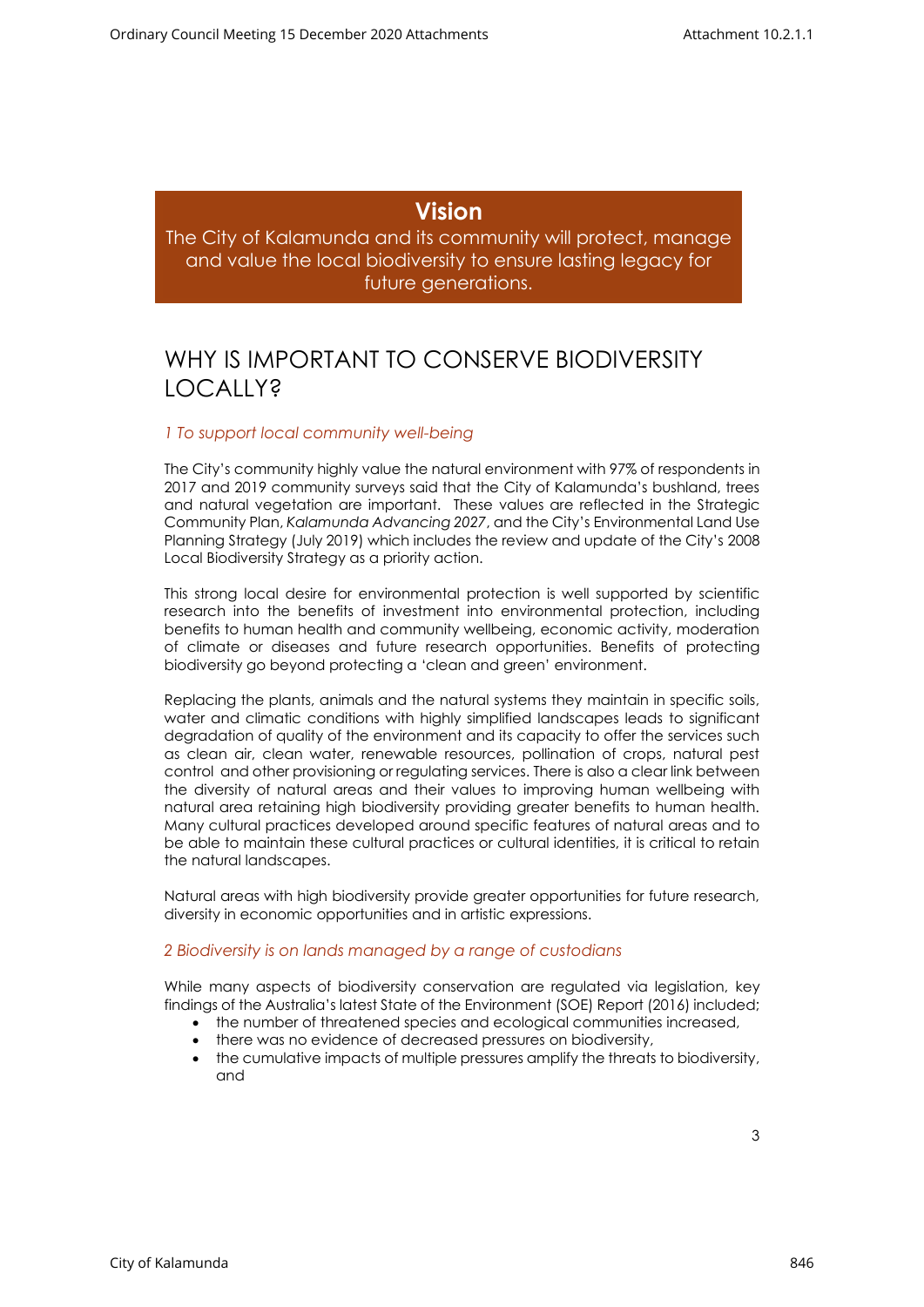#### **Vision**

<span id="page-3-0"></span>The City of Kalamunda and its community will protect, manage and value the local biodiversity to ensure lasting legacy for future generations.

### WHY IS IMPORTANT TO CONSERVE BIODIVERSITY LOCALLY?

#### *1 To support local community well-being*

The City's community highly value the natural environment with 97% of respondents in 2017 and 2019 community surveys said that the City of Kalamunda's bushland, trees and natural vegetation are important. These values are reflected in the Strategic Community Plan, *Kalamunda Advancing 2027*, and the City's Environmental Land Use Planning Strategy (July 2019) which includes the review and update of the City's 2008 Local Biodiversity Strategy as a priority action.

This strong local desire for environmental protection is well supported by scientific research into the benefits of investment into environmental protection, including benefits to human health and community wellbeing, economic activity, moderation of climate or diseases and future research opportunities. Benefits of protecting biodiversity go beyond protecting a 'clean and green' environment.

Replacing the plants, animals and the natural systems they maintain in specific soils, water and climatic conditions with highly simplified landscapes leads to significant degradation of quality of the environment and its capacity to offer the services such as clean air, clean water, renewable resources, pollination of crops, natural pest control and other provisioning or regulating services. There is also a clear link between the diversity of natural areas and their values to improving human wellbeing with natural area retaining high biodiversity providing greater benefits to human health. Many cultural practices developed around specific features of natural areas and to be able to maintain these cultural practices or cultural identities, it is critical to retain the natural landscapes.

Natural areas with high biodiversity provide greater opportunities for future research, diversity in economic opportunities and in artistic expressions.

#### *2 Biodiversity is on lands managed by a range of custodians*

While many aspects of biodiversity conservation are regulated via legislation, [key](https://soe.environment.gov.au/theme/biodiversity)  [findings](https://soe.environment.gov.au/theme/biodiversity) of the Australia's latest State of the Environment (SOE) Report (2016) included;

- the number of threatened species and ecological communities increased,
- there was no evidence of decreased pressures on biodiversity,
- the cumulative impacts of multiple pressures amplify the threats to biodiversity, and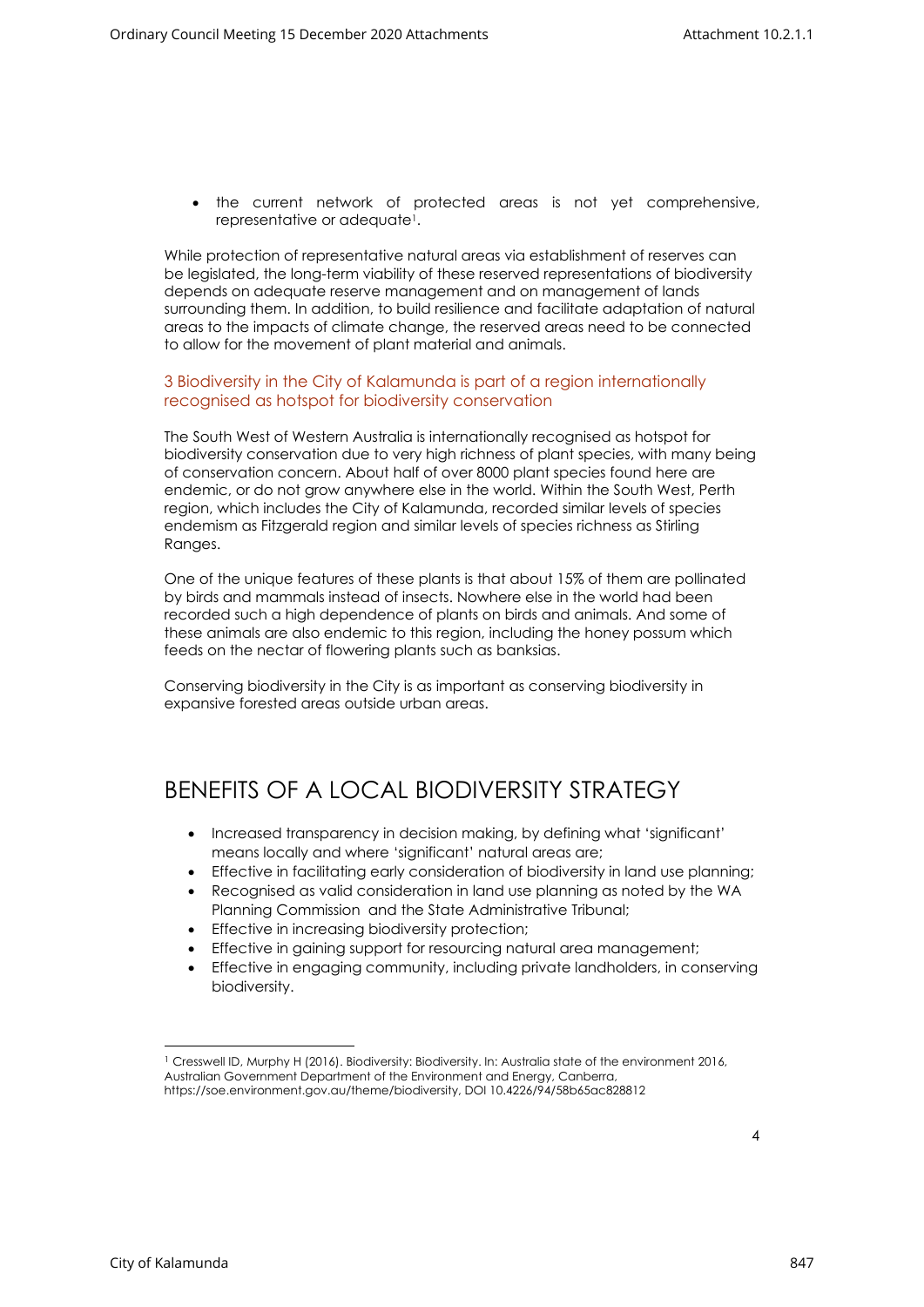• the current network of protected areas is not yet comprehensive, representative or adequate<sup>1</sup>.

While protection of representative natural areas via establishment of reserves can be legislated, the long-term viability of these reserved representations of biodiversity depends on adequate reserve management and on management of lands surrounding them. In addition, to build resilience and facilitate adaptation of natural areas to the impacts of climate change, the reserved areas need to be connected to allow for the movement of plant material and animals.

#### 3 Biodiversity in the City of Kalamunda is part of a region internationally recognised as hotspot for biodiversity conservation

The South West of Western Australia is internationally recognised as hotspot for biodiversity conservation due to very high richness of plant species, with many being of conservation concern. About half of over 8000 plant species found here are endemic, or do not grow anywhere else in the world. Within the South West, Perth region, which includes the City of Kalamunda, recorded similar levels of species endemism as Fitzgerald region and similar levels of species richness as Stirling Ranges.

One of the unique features of these plants is that about 15% of them are pollinated by birds and mammals instead of insects. Nowhere else in the world had been recorded such a high dependence of plants on birds and animals. And some of these animals are also endemic to this region, including the honey possum which feeds on the nectar of flowering plants such as banksias.

Conserving biodiversity in the City is as important as conserving biodiversity in expansive forested areas outside urban areas.

#### <span id="page-4-0"></span>BENEFITS OF A LOCAL BIODIVERSITY STRATEGY

- Increased transparency in decision making, by defining what 'significant' means locally and where 'significant' natural areas are;
- Effective in facilitating early consideration of biodiversity in land use planning;
- Recognised as valid consideration in land use planning as noted by the WA Planning Commission and the State Administrative Tribunal;
- Effective in increasing biodiversity protection;
- Effective in gaining support for resourcing natural area management;
- Effective in engaging community, including private landholders, in conserving biodiversity.

<sup>1</sup> Cresswell ID, Murphy H (2016). Biodiversity: Biodiversity. In: Australia state of the environment 2016, Australian Government Department of the Environment and Energy, Canberra, https://soe.environment.gov.au/theme/biodiversity, DOI 10.4226/94/58b65ac828812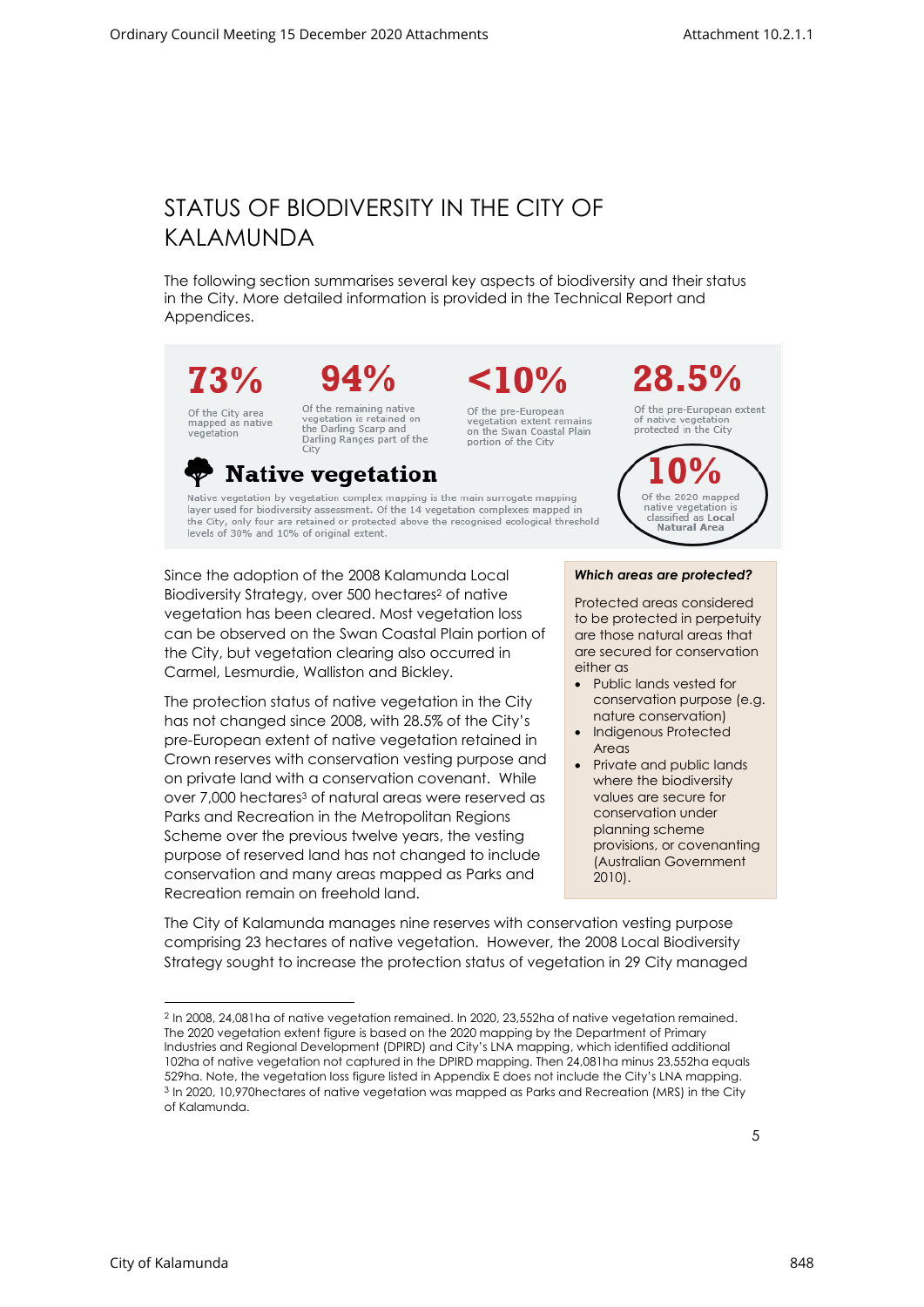# <span id="page-5-0"></span>STATUS OF BIODIVERSITY IN THE CITY OF KALAMUNDA

The following section summarises several key aspects of biodiversity and their status in the City. More detailed information is provided in the Technical Report and Appendices.



# $94%$

Of the City area<br>mapped as native vegetation

Of the remaining native<br>vegetation is retained on<br>the Darling Scarp and Darling Ranges part of the City

Of the pre-European vegetation extent remains<br>on the Swan Coastal Plain portion of the City

 $< 10\%$ 



Of the pre-European extent of native vegetation protected in the City



**Native vegetation** 

Native vegetation by vegetation complex mapping is the main surrogate mapping layer used for biodiversity assessment. Of the 14 vegetation complexes mapped in the City, only four are retained or protected above the recognised ecological threshold levels of 30% and 10% of original extent.

Since the adoption of the 2008 Kalamunda Local Biodiversity Strategy, over 500 hectares<sup>2</sup> of native vegetation has been cleared. Most vegetation loss can be observed on the Swan Coastal Plain portion of the City, but vegetation clearing also occurred in Carmel, Lesmurdie, Walliston and Bickley.

The protection status of native vegetation in the City has not changed since 2008, with 28.5% of the City's pre-European extent of native vegetation retained in Crown reserves with conservation vesting purpose and on private land with a conservation covenant. While over 7,000 hectares<sup>3</sup> of natural areas were reserved as Parks and Recreation in the Metropolitan Regions Scheme over the previous twelve years, the vesting purpose of reserved land has not changed to include conservation and many areas mapped as Parks and Recreation remain on freehold land.

*Which areas are protected?* 

Protected areas considered to be protected in perpetuity are those natural areas that are secured for conservation either as

- Public lands vested for conservation purpose (e.g. nature conservation)
- Indigenous Protected Areas
- Private and public lands where the biodiversity values are secure for conservation under planning scheme provisions, or covenanting (Australian Government 2010).

The City of Kalamunda manages nine reserves with conservation vesting purpose comprising 23 hectares of native vegetation. However, the 2008 Local Biodiversity Strategy sought to increase the protection status of vegetation in 29 City managed

<sup>2</sup> In 2008, 24,081ha of native vegetation remained. In 2020, 23,552ha of native vegetation remained. The 2020 vegetation extent figure is based on the 2020 mapping by the Department of Primary Industries and Regional Development (DPIRD) and City's LNA mapping, which identified additional 102ha of native vegetation not captured in the DPIRD mapping. Then 24,081ha minus 23,552ha equals 529ha. Note, the vegetation loss figure listed in Appendix E does not include the City's LNA mapping. <sup>3</sup> In 2020, 10,970hectares of native vegetation was mapped as Parks and Recreation (MRS) in the City of Kalamunda.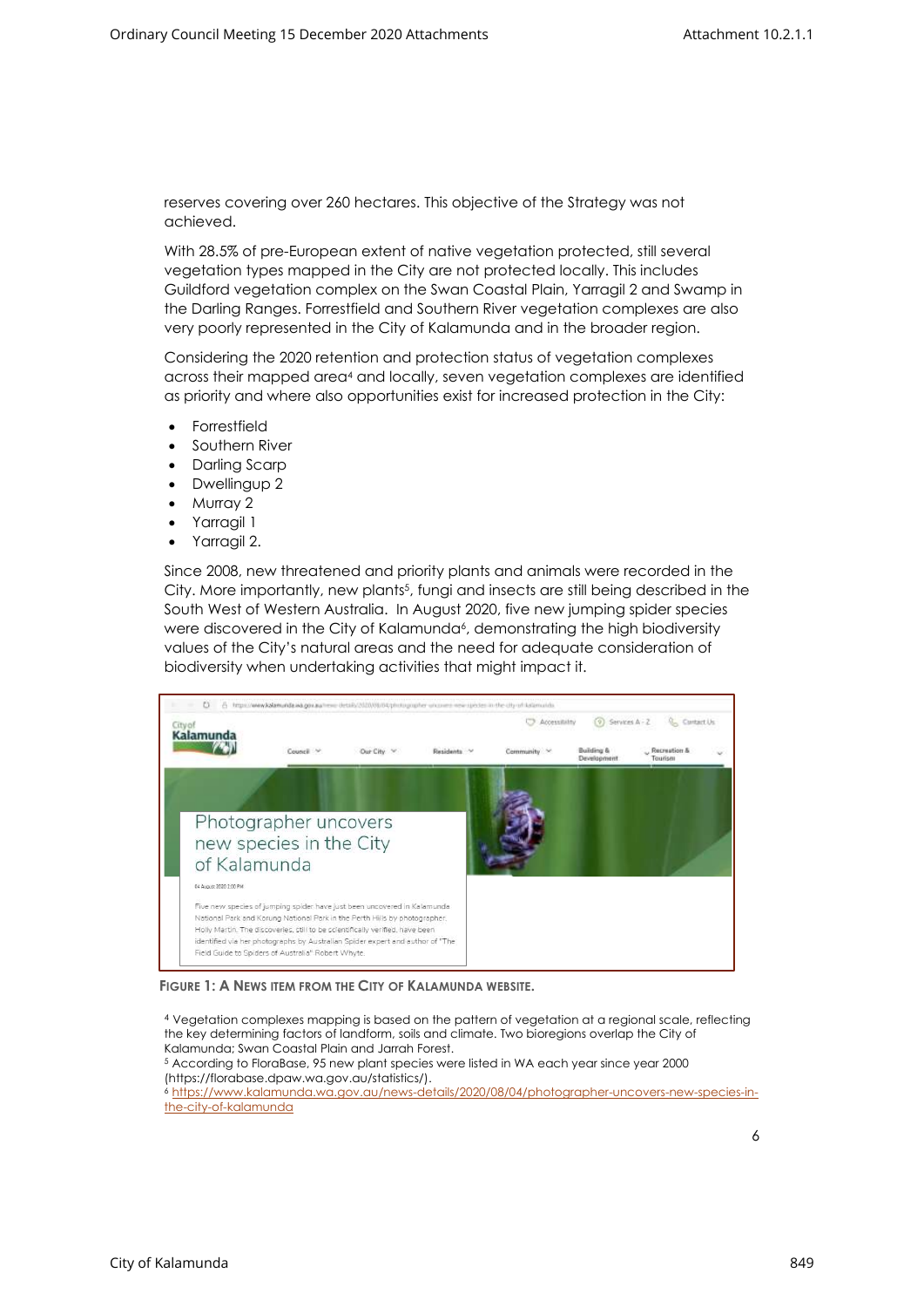reserves covering over 260 hectares. This objective of the Strategy was not achieved.

With 28.5% of pre-European extent of native vegetation protected, still several vegetation types mapped in the City are not protected locally. This includes Guildford vegetation complex on the Swan Coastal Plain, Yarragil 2 and Swamp in the Darling Ranges. Forrestfield and Southern River vegetation complexes are also very poorly represented in the City of Kalamunda and in the broader region.

Considering the 2020 retention and protection status of vegetation complexes across their mapped area<sup>4</sup> and locally, seven vegetation complexes are identified as priority and where also opportunities exist for increased protection in the City:

- **Forrestfield**
- Southern River
- Darling Scarp
- Dwellingup 2
- Murray 2
- Yarragil 1
- Yarragil 2.

Since 2008, new threatened and priority plants and animals were recorded in the City. More importantly, new plants<sup>5</sup>, fungi and insects are still being described in the South West of Western Australia. In August 2020, five new jumping spider species were discovered in the City of Kalamunda<sup>6</sup>, demonstrating the high biodiversity values of the City's natural areas and the need for adequate consideration of biodiversity when undertaking activities that might impact it.



**FIGURE 1: A NEWS ITEM FROM THE CITY OF KALAMUNDA WEBSITE.**

<sup>4</sup> Vegetation complexes mapping is based on the pattern of vegetation at a regional scale, reflecting the key determining factors of landform, soils and climate. Two bioregions overlap the City of Kalamunda; Swan Coastal Plain and Jarrah Forest. <sup>5</sup> According to FloraBase, 95 new plant species were listed in WA each year since year 2000 (https://florabase.dpaw.wa.gov.au/statistics/). <sup>6</sup> [https://www.kalamunda.wa.gov.au/news-details/2020/08/04/photographer-uncovers-new-species-in](https://www.kalamunda.wa.gov.au/news-details/2020/08/04/photographer-uncovers-new-species-in-the-city-of-kalamunda)[the-city-of-kalamunda](https://www.kalamunda.wa.gov.au/news-details/2020/08/04/photographer-uncovers-new-species-in-the-city-of-kalamunda)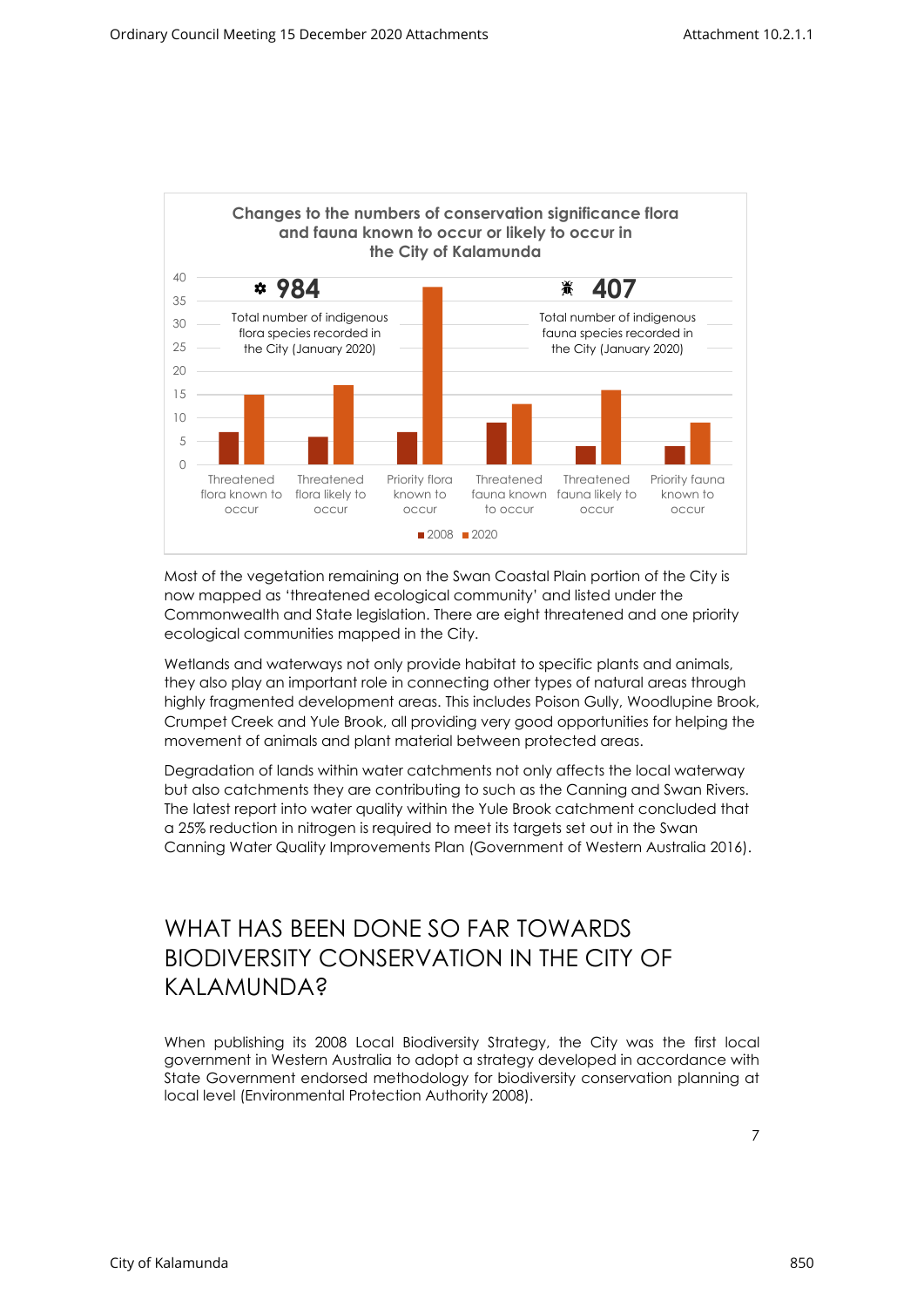

Most of the vegetation remaining on the Swan Coastal Plain portion of the City is now mapped as 'threatened ecological community' and listed under the Commonwealth and State legislation. There are eight threatened and one priority ecological communities mapped in the City.

Wetlands and waterways not only provide habitat to specific plants and animals, they also play an important role in connecting other types of natural areas through highly fragmented development areas. This includes Poison Gully, Woodlupine Brook, Crumpet Creek and Yule Brook, all providing very good opportunities for helping the movement of animals and plant material between protected areas.

Degradation of lands within water catchments not only affects the local waterway but also catchments they are contributing to such as the Canning and Swan Rivers. The latest report into water quality within the Yule Brook catchment concluded that a 25% reduction in nitrogen is required to meet its targets set out in the Swan Canning Water Quality Improvements Plan (Government of Western Australia 2016).

### <span id="page-7-0"></span>WHAT HAS BEEN DONE SO FAR TOWARDS BIODIVERSITY CONSERVATION IN THE CITY OF KAI AMUNDA?

When publishing its 2008 Local Biodiversity Strategy, the City was the first local government in Western Australia to adopt a strategy developed in accordance with State Government endorsed methodology for biodiversity conservation planning at local level (Environmental Protection Authority 2008).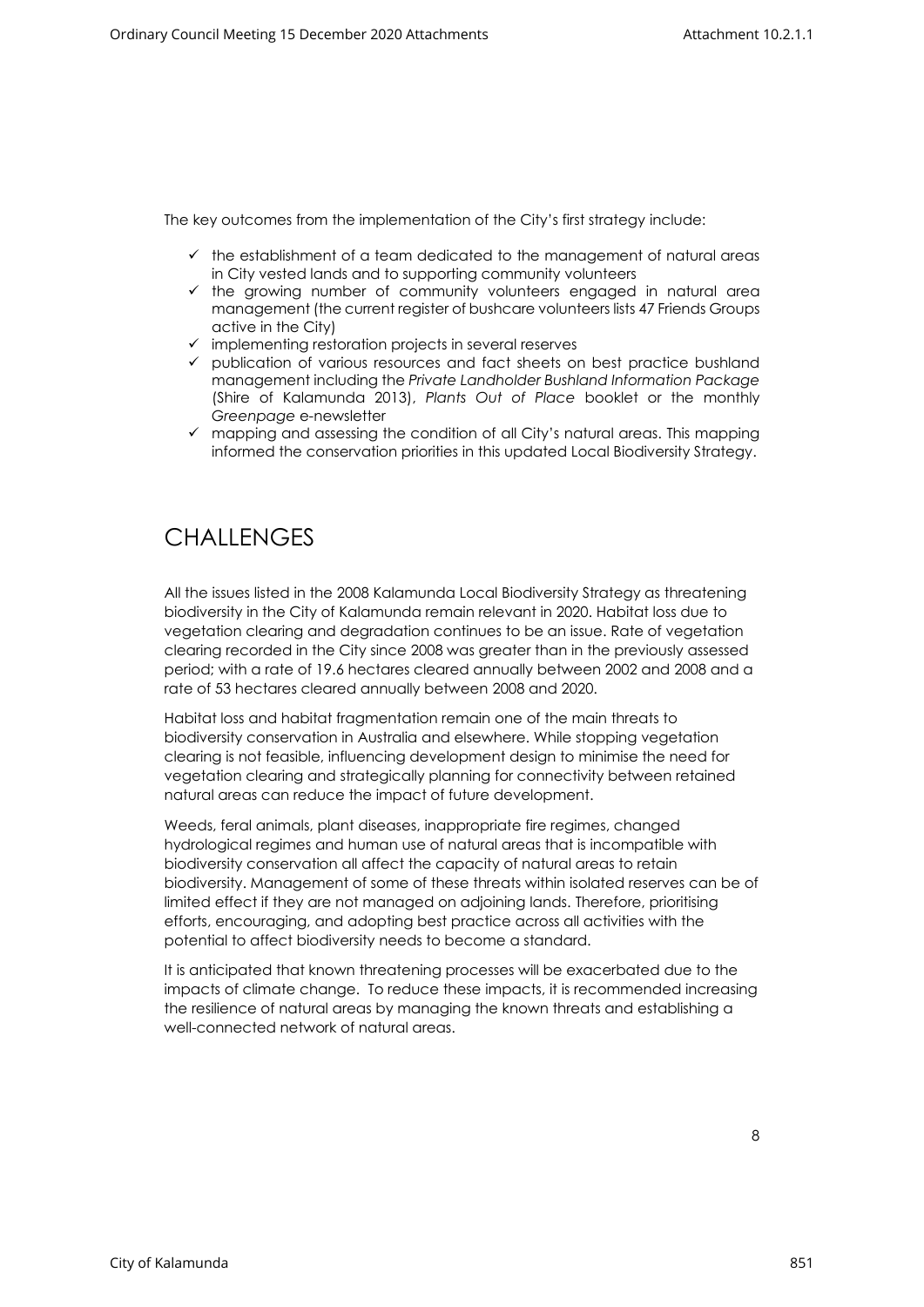The key outcomes from the implementation of the City's first strategy include:

- $\checkmark$  the establishment of a team dedicated to the management of natural areas in City vested lands and to supporting community volunteers
- ✓ the growing number of community volunteers engaged in natural area management (the current register of bushcare volunteers lists 47 Friends Groups active in the City)
- $\checkmark$  implementing restoration projects in several reserves
- ✓ publication of various resources and fact sheets on best practice bushland management including the *Private Landholder Bushland Information Package* (Shire of Kalamunda 2013), *Plants Out of Place* booklet or the monthly *Greenpage* e-newsletter
- ✓ mapping and assessing the condition of all City's natural areas. This mapping informed the conservation priorities in this updated Local Biodiversity Strategy.

# <span id="page-8-0"></span>**CHALLENGES**

All the issues listed in the 2008 Kalamunda Local Biodiversity Strategy as threatening biodiversity in the City of Kalamunda remain relevant in 2020. Habitat loss due to vegetation clearing and degradation continues to be an issue. Rate of vegetation clearing recorded in the City since 2008 was greater than in the previously assessed period; with a rate of 19.6 hectares cleared annually between 2002 and 2008 and a rate of 53 hectares cleared annually between 2008 and 2020.

Habitat loss and habitat fragmentation remain one of the main threats to biodiversity conservation in Australia and elsewhere. While stopping vegetation clearing is not feasible, influencing development design to minimise the need for vegetation clearing and strategically planning for connectivity between retained natural areas can reduce the impact of future development.

Weeds, feral animals, plant diseases, inappropriate fire regimes, changed hydrological regimes and human use of natural areas that is incompatible with biodiversity conservation all affect the capacity of natural areas to retain biodiversity. Management of some of these threats within isolated reserves can be of limited effect if they are not managed on adjoining lands. Therefore, prioritising efforts, encouraging, and adopting best practice across all activities with the potential to affect biodiversity needs to become a standard.

It is anticipated that known threatening processes will be exacerbated due to the impacts of climate change. To reduce these impacts, it is recommended increasing the resilience of natural areas by managing the known threats and establishing a well-connected network of natural areas.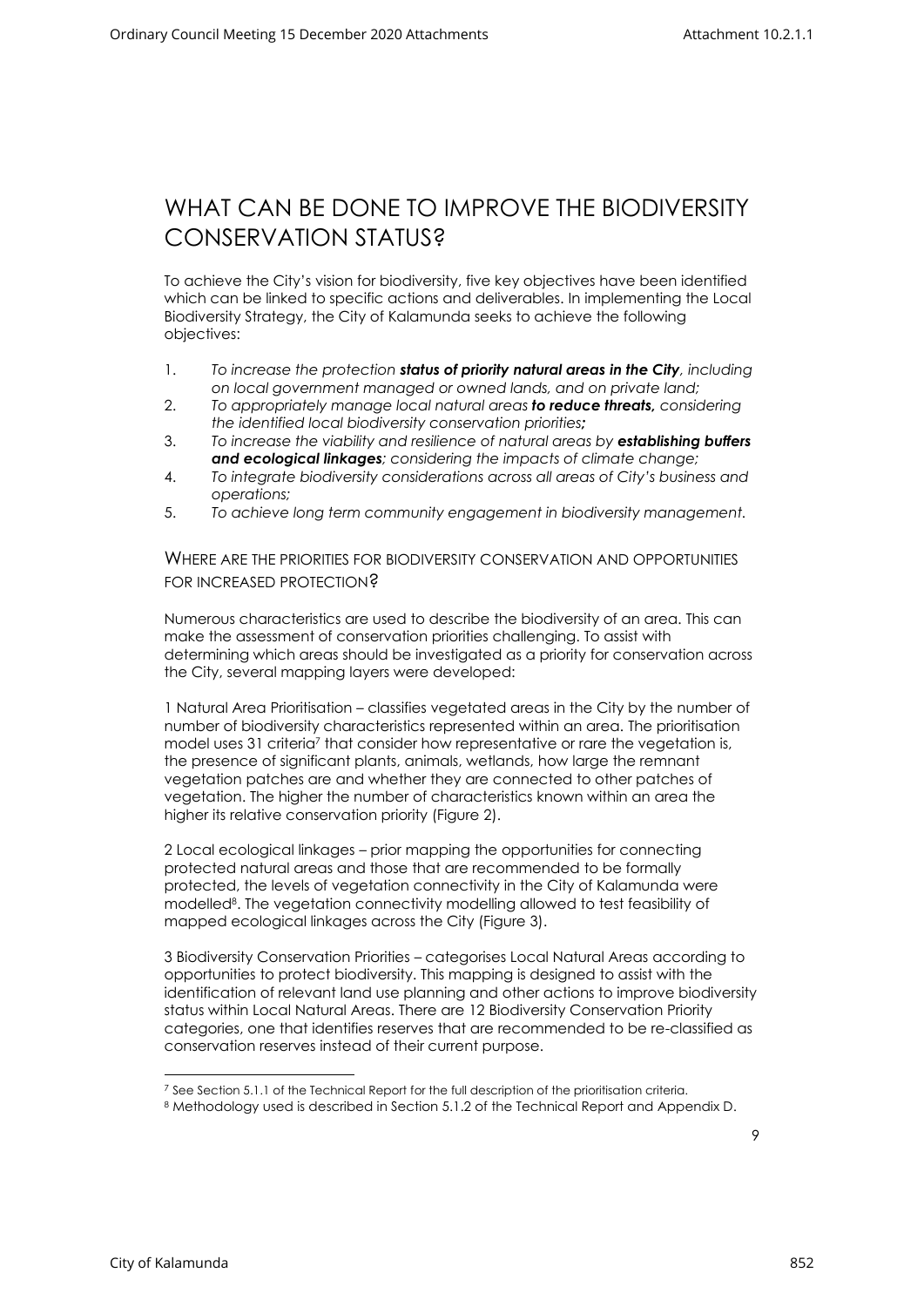### <span id="page-9-0"></span>WHAT CAN BE DONE TO IMPROVE THE BIODIVERSITY CONSERVATION STATUS?

To achieve the City's vision for biodiversity, five key objectives have been identified which can be linked to specific actions and deliverables. In implementing the Local Biodiversity Strategy, the City of Kalamunda seeks to achieve the following objectives:

- 1. *To increase the protection status of priority natural areas in the City, including on local government managed or owned lands, and on private land;*
- 2. *To appropriately manage local natural areas to reduce threats, considering the identified local biodiversity conservation priorities;*
- 3. *To increase the viability and resilience of natural areas by establishing buffers and ecological linkages; considering the impacts of climate change;*
- 4. *To integrate biodiversity considerations across all areas of City's business and operations;*
- <span id="page-9-1"></span>5. *To achieve long term community engagement in biodiversity management.*

WHERE ARE THE PRIORITIES FOR BIODIVERSITY CONSERVATION AND OPPORTUNITIES FOR INCREASED PROTECTION?

Numerous characteristics are used to describe the biodiversity of an area. This can make the assessment of conservation priorities challenging. To assist with determining which areas should be investigated as a priority for conservation across the City, several mapping layers were developed:

1 Natural Area Prioritisation – classifies vegetated areas in the City by the number of number of biodiversity characteristics represented within an area. The prioritisation model uses 31 criteria<sup>7</sup> that consider how representative or rare the vegetation is, the presence of significant plants, animals, wetlands, how large the remnant vegetation patches are and whether they are connected to other patches of vegetation. The higher the number of characteristics known within an area the higher its relative conservation priority (Figure 2).

2 Local ecological linkages – prior mapping the opportunities for connecting protected natural areas and those that are recommended to be formally protected, the levels of vegetation connectivity in the City of Kalamunda were modelled<sup>8</sup> . The vegetation connectivity modelling allowed to test feasibility of mapped ecological linkages across the City (Figure 3).

3 Biodiversity Conservation Priorities – categorises Local Natural Areas according to opportunities to protect biodiversity. This mapping is designed to assist with the identification of relevant land use planning and other actions to improve biodiversity status within Local Natural Areas. There are 12 Biodiversity Conservation Priority categories, one that identifies reserves that are recommended to be re-classified as conservation reserves instead of their current purpose.

<sup>&</sup>lt;sup>7</sup> See Section 5.1.1 of the Technical Report for the full description of the prioritisation criteria.

<sup>8</sup> Methodology used is described in Section 5.1.2 of the Technical Report and Appendix D.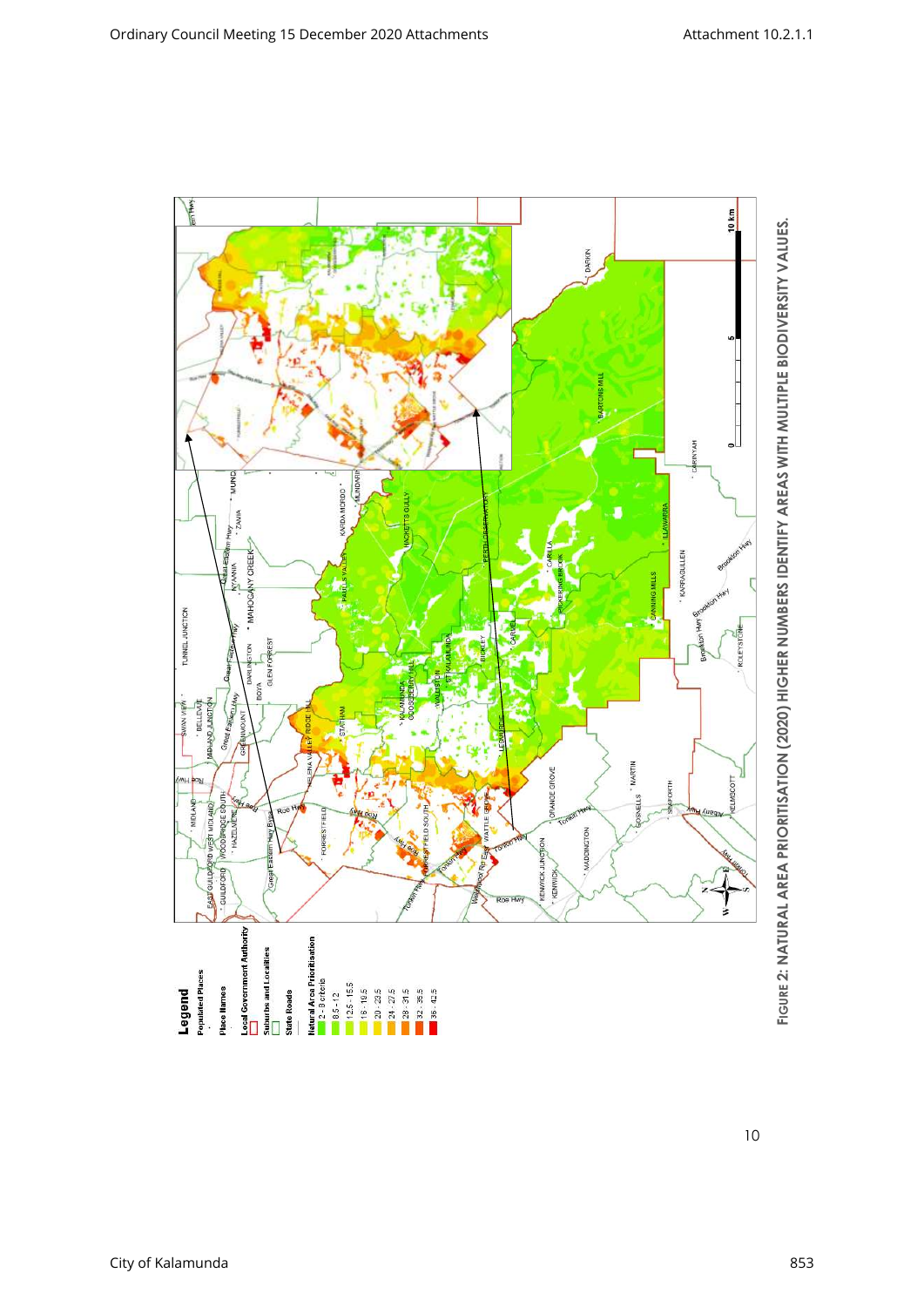

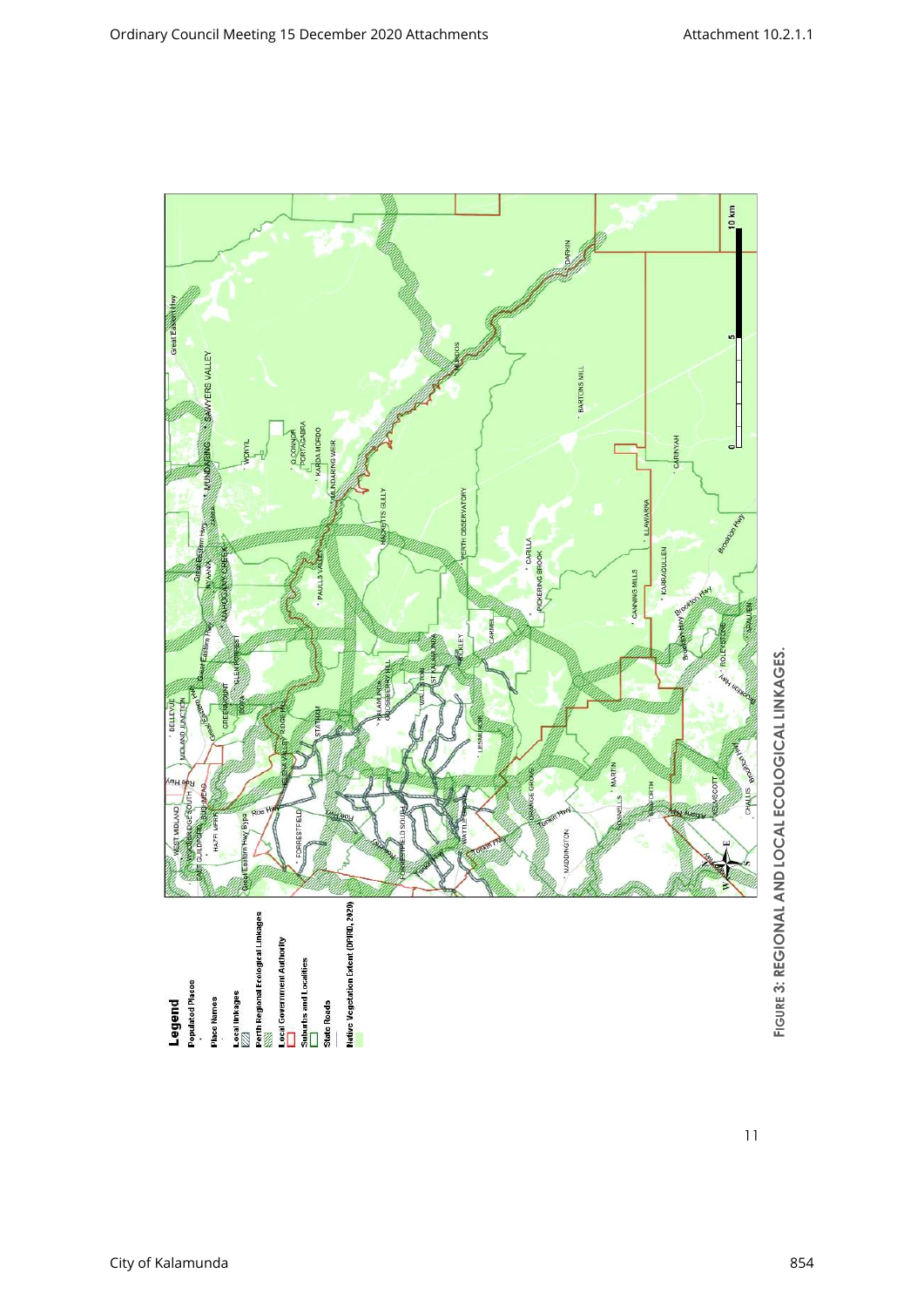

**FIGURE 3: REGIONAL AND LOCAL ECOLOGICAL LINKAGES. 3: REGIONAL AND LOCAL ECOLOGICAL LINKAGES.**

11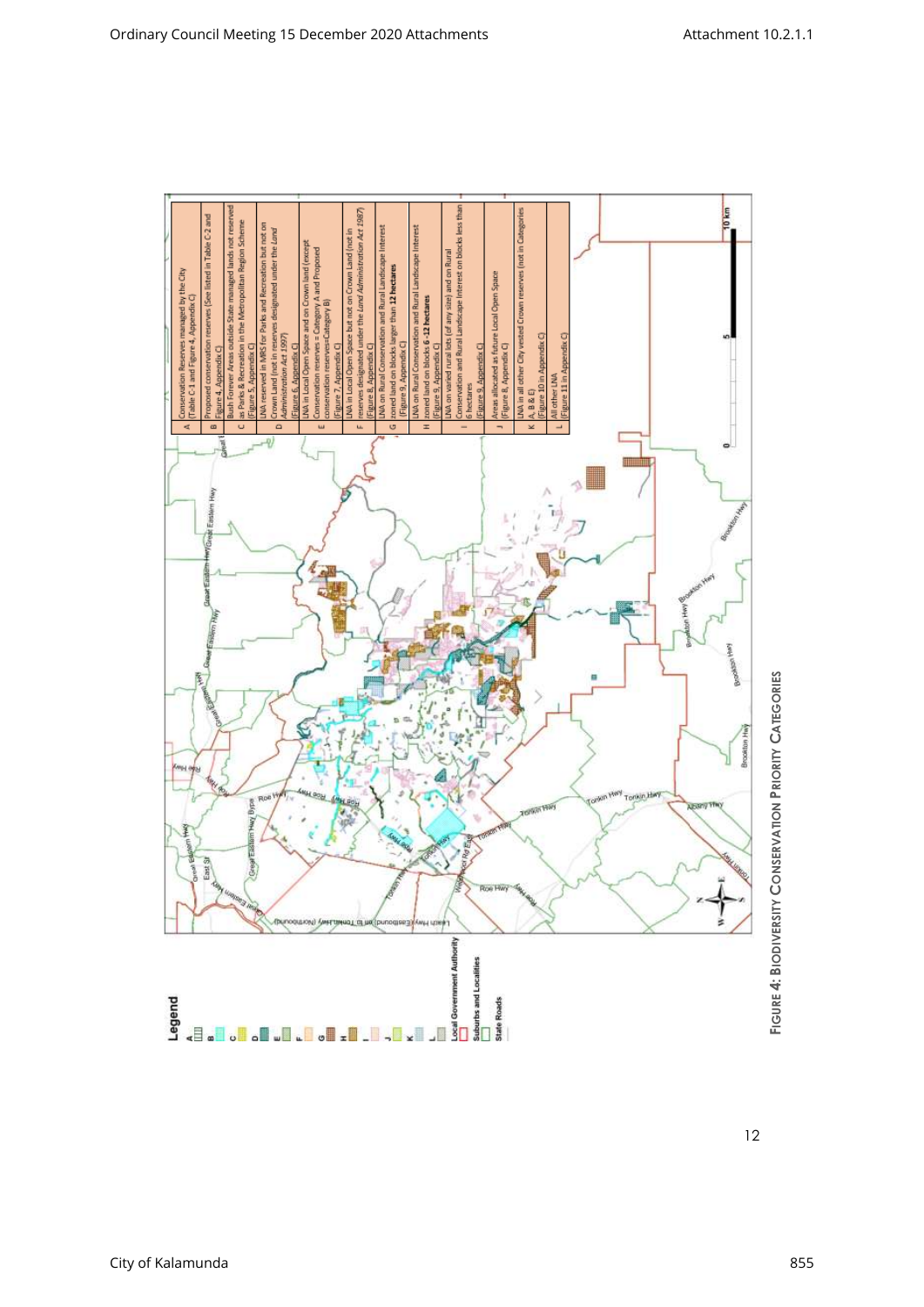

**FIGURE 4: BIODIVERSITY CONSERVATION PRIORITY CATEGORIES**

12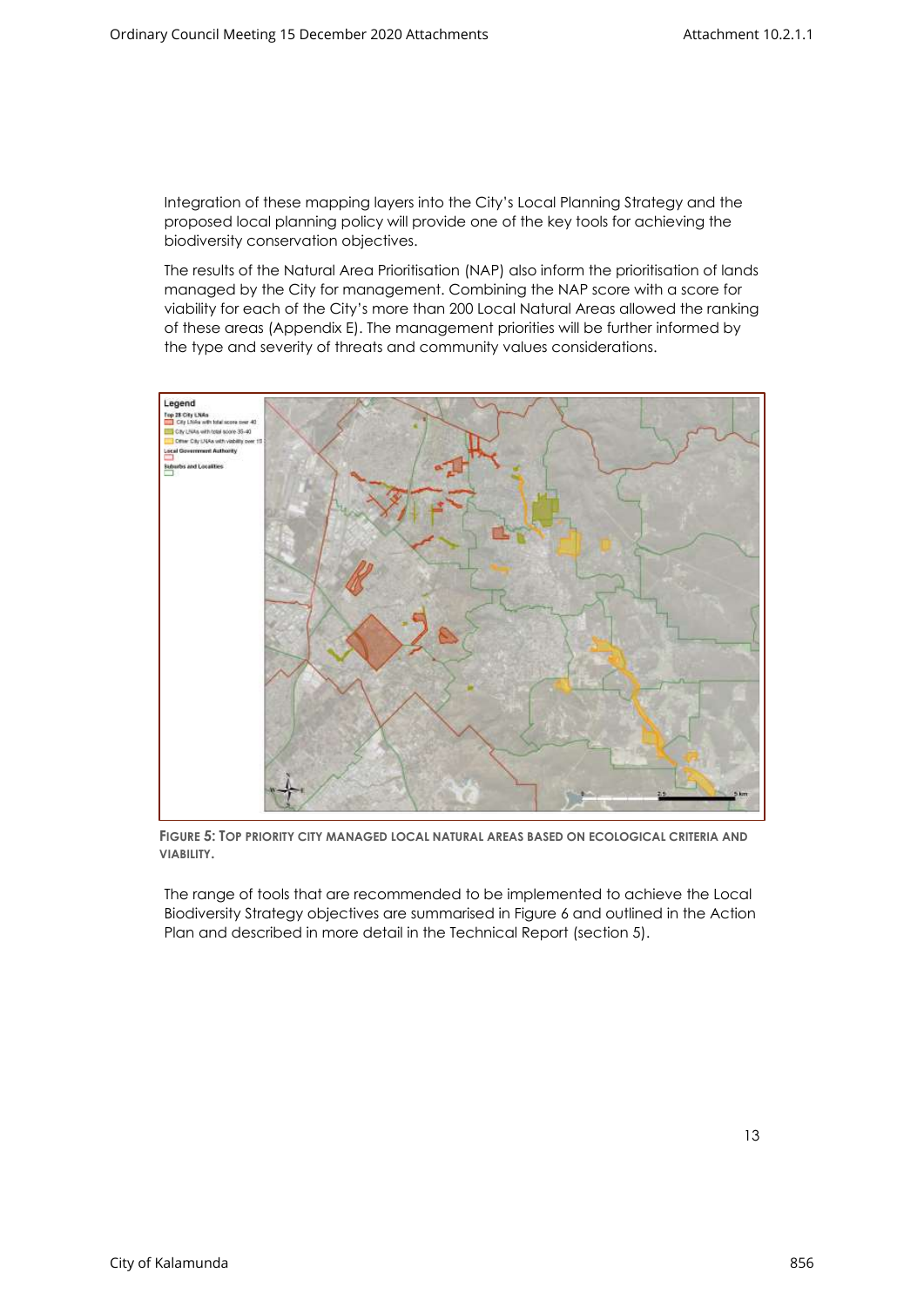Integration of these mapping layers into the City's Local Planning Strategy and the proposed local planning policy will provide one of the key tools for achieving the biodiversity conservation objectives.

The results of the Natural Area Prioritisation (NAP) also inform the prioritisation of lands managed by the City for management. Combining the NAP score with a score for viability for each of the City's more than 200 Local Natural Areas allowed the ranking of these areas (Appendix E). The management priorities will be further informed by the type and severity of threats and community values considerations.



**FIGURE 5: TOP PRIORITY CITY MANAGED LOCAL NATURAL AREAS BASED ON ECOLOGICAL CRITERIA AND VIABILITY.**

The range of tools that are recommended to be implemented to achieve the Local Biodiversity Strategy objectives are summarised in Figure 6 and outlined in the Action Plan and described in more detail in the Technical Report (section 5).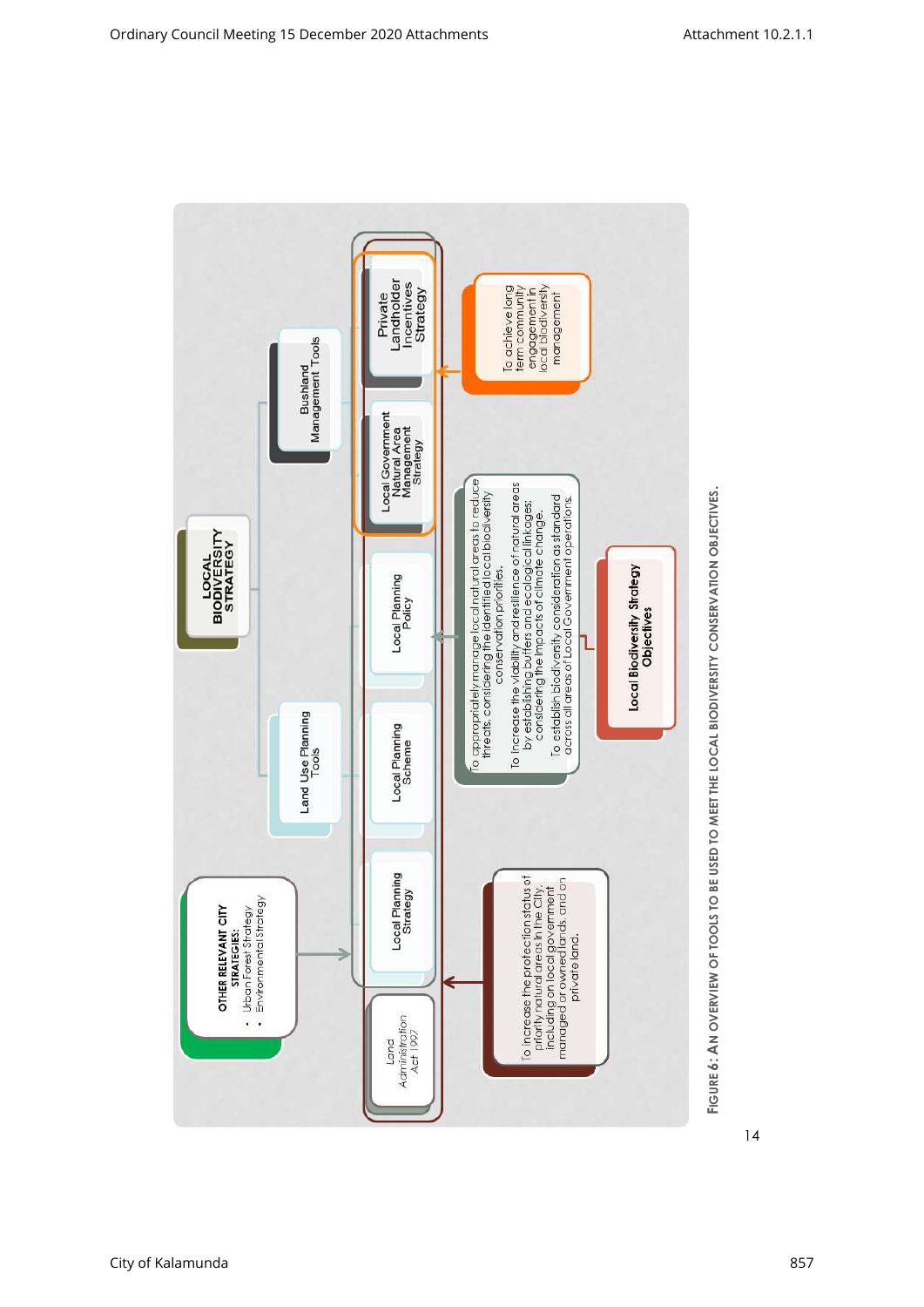

**FIGURE 6: AN OVERVIEW OF TOOLS TO BE USED TO MEET THE LOCAL BIODIVERSITY CONSERVATION OBJECTIVES. 6: AN OVERVIEW OF TOOLS TO BE USED TO MEET THE LOCAL BIODIVERSITY CONSERVATION OBJECTIVES.**

14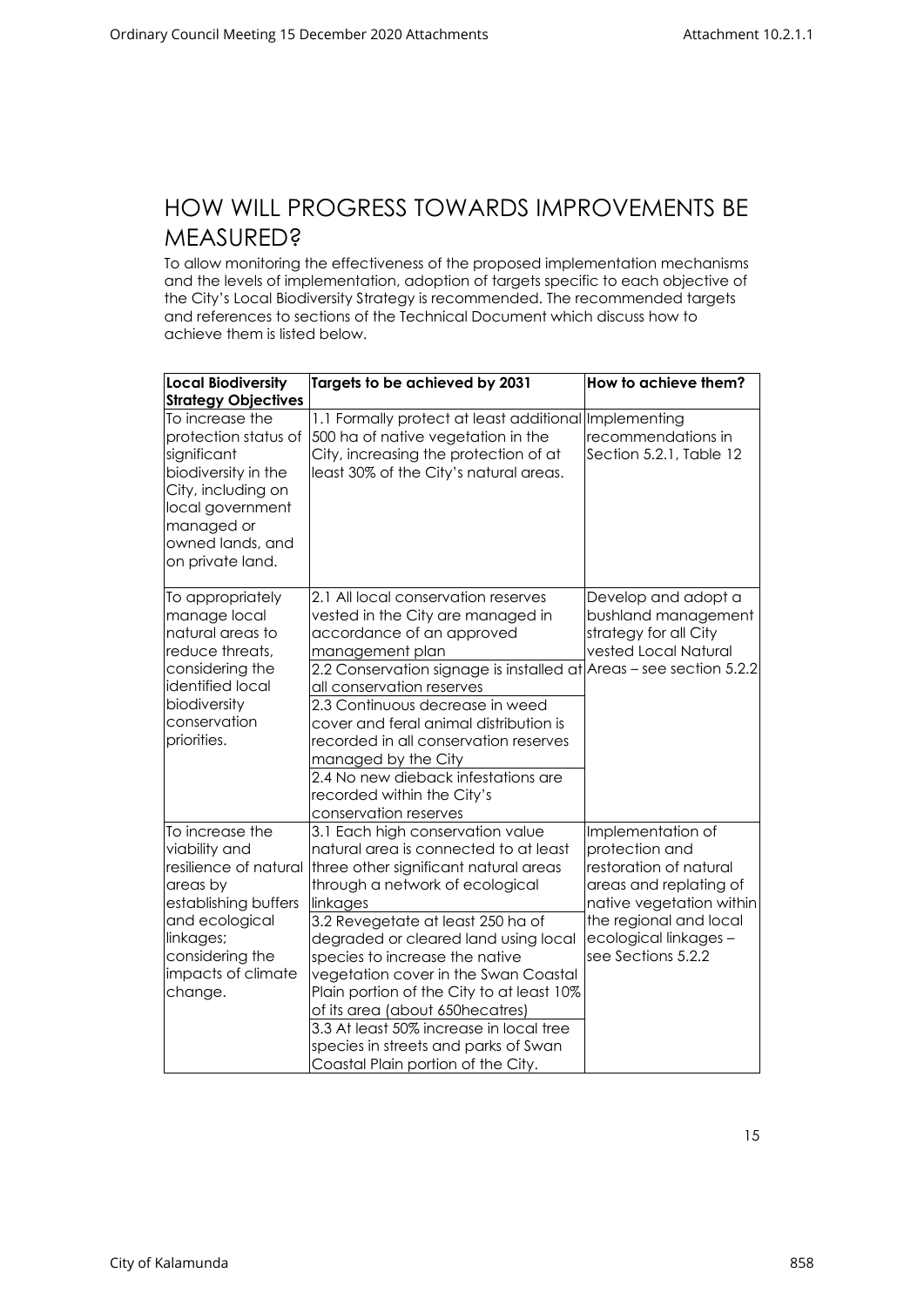#### <span id="page-15-0"></span>HOW WILL PROGRESS TOWARDS IMPROVEMENTS BE **MEASURED?**

To allow monitoring the effectiveness of the proposed implementation mechanisms and the levels of implementation, adoption of targets specific to each objective of the City's Local Biodiversity Strategy is recommended. The recommended targets and references to sections of the Technical Document which discuss how to achieve them is listed below.

| <b>Local Biodiversity</b><br><b>Strategy Objectives</b>                                                                                                                          | Targets to be achieved by 2031                                                                                                                                                                                                                                                                                                                                                                                                                                                                                                                             | How to achieve them?                                                                                                                                                                         |
|----------------------------------------------------------------------------------------------------------------------------------------------------------------------------------|------------------------------------------------------------------------------------------------------------------------------------------------------------------------------------------------------------------------------------------------------------------------------------------------------------------------------------------------------------------------------------------------------------------------------------------------------------------------------------------------------------------------------------------------------------|----------------------------------------------------------------------------------------------------------------------------------------------------------------------------------------------|
| To increase the<br>protection status of<br>significant<br>biodiversity in the<br>City, including on<br>local government<br>managed or<br>owned lands, and<br>on private land.    | 1.1 Formally protect at least additional Implementing<br>500 ha of native vegetation in the<br>City, increasing the protection of at<br>least 30% of the City's natural areas.                                                                                                                                                                                                                                                                                                                                                                             | recommendations in<br>Section 5.2.1, Table 12                                                                                                                                                |
| To appropriately<br>manage local<br>natural areas to<br>reduce threats,<br>considering the<br>identified local<br>biodiversity<br>conservation<br>priorities.                    | 2.1 All local conservation reserves<br>vested in the City are managed in<br>accordance of an approved<br>management plan<br>2.2 Conservation signage is installed at Areas – see section 5.2.2<br>all conservation reserves<br>2.3 Continuous decrease in weed<br>cover and feral animal distribution is<br>recorded in all conservation reserves<br>managed by the City<br>2.4 No new dieback infestations are<br>recorded within the City's                                                                                                              | Develop and adopt a<br>bushland management<br>strategy for all City<br>vested Local Natural                                                                                                  |
| To increase the<br>viability and<br>resilience of natural<br>areas by<br>establishing buffers<br>and ecological<br>linkages;<br>considering the<br>impacts of climate<br>change. | conservation reserves<br>3.1 Each high conservation value<br>natural area is connected to at least<br>three other significant natural areas<br>through a network of ecological<br>linkages<br>3.2 Revegetate at least 250 ha of<br>degraded or cleared land using local<br>species to increase the native<br>vegetation cover in the Swan Coastal<br>Plain portion of the City to at least 10%<br>of its area (about 650hecatres)<br>3.3 At least 50% increase in local tree<br>species in streets and parks of Swan<br>Coastal Plain portion of the City. | Implementation of<br>protection and<br>restoration of natural<br>areas and replating of<br>native vegetation within<br>the regional and local<br>ecological linkages -<br>see Sections 5.2.2 |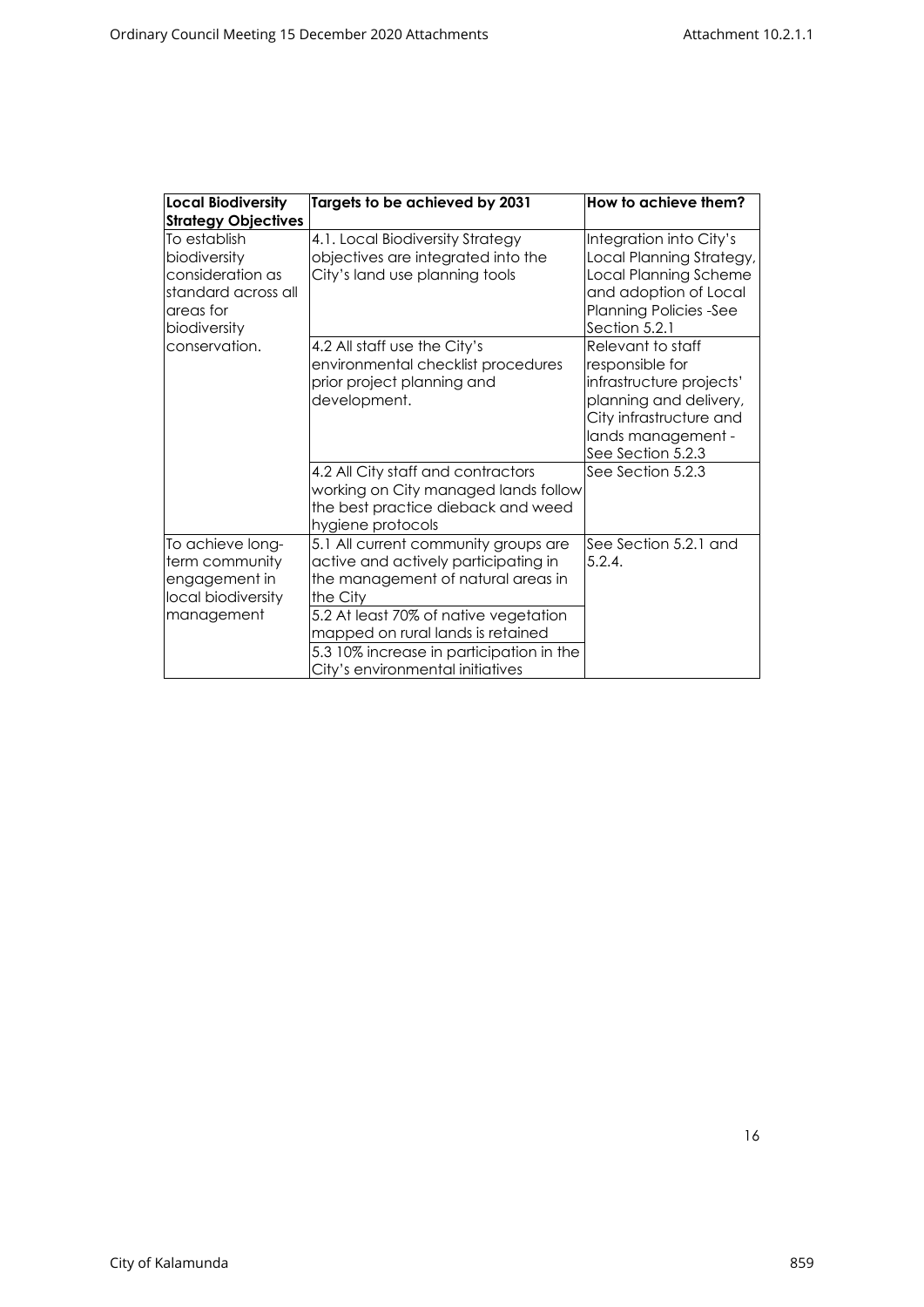| <b>Local Biodiversity</b>                                                                            | Targets to be achieved by 2031                                                                                                                                                                                                                                                               | How to achieve them?                                                                                                                                             |  |
|------------------------------------------------------------------------------------------------------|----------------------------------------------------------------------------------------------------------------------------------------------------------------------------------------------------------------------------------------------------------------------------------------------|------------------------------------------------------------------------------------------------------------------------------------------------------------------|--|
| <b>Strategy Objectives</b>                                                                           |                                                                                                                                                                                                                                                                                              |                                                                                                                                                                  |  |
| To establish<br>biodiversity<br>consideration as<br>standard across all<br>areas for<br>biodiversity | 4.1. Local Biodiversity Strategy<br>objectives are integrated into the<br>City's land use planning tools                                                                                                                                                                                     | Integration into City's<br>Local Planning Strategy,<br>Local Planning Scheme<br>and adoption of Local<br><b>Planning Policies -See</b><br>Section 5.2.1          |  |
| conservation.                                                                                        | 4.2 All staff use the City's<br>environmental checklist procedures<br>prior project planning and<br>development.                                                                                                                                                                             | Relevant to staff<br>responsible for<br>infrastructure projects'<br>planning and delivery,<br>City infrastructure and<br>lands management -<br>See Section 5.2.3 |  |
|                                                                                                      | 4.2 All City staff and contractors<br>working on City managed lands follow<br>the best practice dieback and weed<br>hygiene protocols                                                                                                                                                        | See Section 5.2.3                                                                                                                                                |  |
| To achieve long-<br>term community<br>engagement in<br>local biodiversity<br>management              | 5.1 All current community groups are<br>active and actively participating in<br>the management of natural areas in<br>the City<br>5.2 At least 70% of native vegetation<br>mapped on rural lands is retained<br>5.3 10% increase in participation in the<br>City's environmental initiatives | See Section 5.2.1 and<br>5.2.4.                                                                                                                                  |  |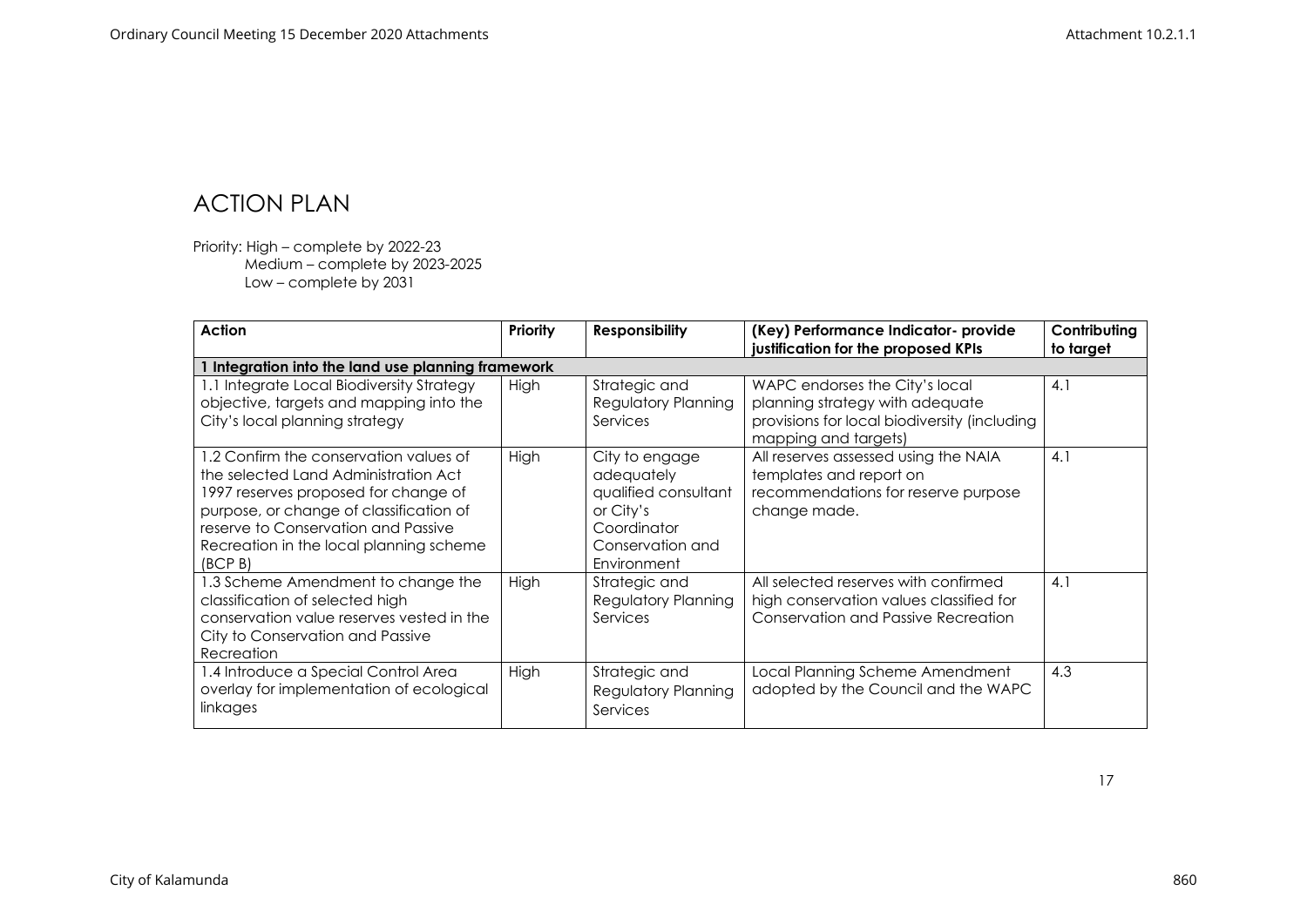#### ACTION PLAN

Priority: High – complete by 2022-23 Medium – complete by 2023-2025 Low – complete by 2031

<span id="page-17-0"></span>

| <b>Action</b>                                                                                                                                                                                                                                                  | Priority    | <b>Responsibility</b>                                                                                               | (Key) Performance Indicator- provide<br>justification for the proposed KPIs                                                               | Contributing<br>to target |
|----------------------------------------------------------------------------------------------------------------------------------------------------------------------------------------------------------------------------------------------------------------|-------------|---------------------------------------------------------------------------------------------------------------------|-------------------------------------------------------------------------------------------------------------------------------------------|---------------------------|
| Integration into the land use planning framework                                                                                                                                                                                                               |             |                                                                                                                     |                                                                                                                                           |                           |
| 1.1 Integrate Local Biodiversity Strategy<br>objective, targets and mapping into the<br>City's local planning strategy                                                                                                                                         | High        | Strategic and<br><b>Regulatory Planning</b><br>Services                                                             | WAPC endorses the City's local<br>planning strategy with adequate<br>provisions for local biodiversity (including<br>mapping and targets) | 4.1                       |
| 1.2 Confirm the conservation values of<br>the selected Land Administration Act<br>1997 reserves proposed for change of<br>purpose, or change of classification of<br>reserve to Conservation and Passive<br>Recreation in the local planning scheme<br>(BCP B) | High        | City to engage<br>adequately<br>qualified consultant<br>or City's<br>Coordinator<br>Conservation and<br>Environment | All reserves assessed using the NAIA<br>templates and report on<br>recommendations for reserve purpose<br>change made.                    | 4.1                       |
| 1.3 Scheme Amendment to change the<br>classification of selected high<br>conservation value reserves vested in the<br>City to Conservation and Passive<br>Recreation                                                                                           | High        | Strategic and<br><b>Regulatory Planning</b><br>Services                                                             | All selected reserves with confirmed<br>high conservation values classified for<br>Conservation and Passive Recreation                    | 4.1                       |
| 1.4 Introduce a Special Control Area<br>overlay for implementation of ecological<br>linkages                                                                                                                                                                   | <b>High</b> | Strategic and<br><b>Regulatory Planning</b><br>Services                                                             | Local Planning Scheme Amendment<br>adopted by the Council and the WAPC                                                                    | 4.3                       |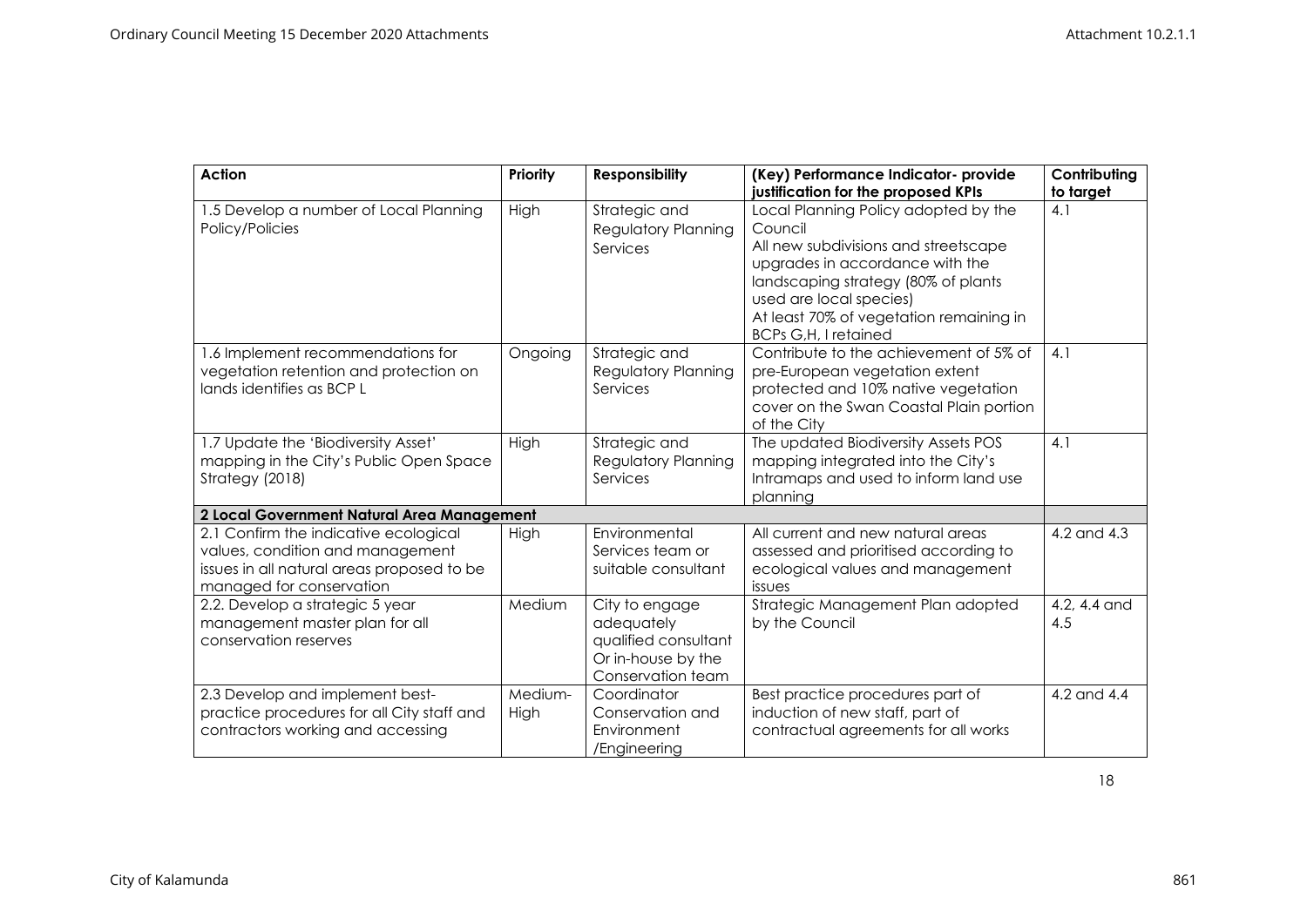| <b>Action</b>                                                                                                                                       | Priority        | <b>Responsibility</b>                                                                           | (Key) Performance Indicator- provide<br>justification for the proposed KPIs                                                                                                                                                                                            | Contributing<br>to target |
|-----------------------------------------------------------------------------------------------------------------------------------------------------|-----------------|-------------------------------------------------------------------------------------------------|------------------------------------------------------------------------------------------------------------------------------------------------------------------------------------------------------------------------------------------------------------------------|---------------------------|
| 1.5 Develop a number of Local Planning<br>Policy/Policies                                                                                           | High            | Strategic and<br>Regulatory Planning<br>Services                                                | Local Planning Policy adopted by the<br>Council<br>All new subdivisions and streetscape<br>upgrades in accordance with the<br>landscaping strategy (80% of plants<br>used are local species)<br>At least 70% of vegetation remaining in<br><b>BCPs G,H, I retained</b> | 4.1                       |
| 1.6 Implement recommendations for<br>vegetation retention and protection on<br>lands identifies as BCP L                                            | Ongoing         | Strategic and<br><b>Regulatory Planning</b><br>Services                                         | Contribute to the achievement of 5% of<br>pre-European vegetation extent<br>protected and 10% native vegetation<br>cover on the Swan Coastal Plain portion<br>of the City                                                                                              | 4.1                       |
| 1.7 Update the 'Biodiversity Asset'<br>mapping in the City's Public Open Space<br>Strategy (2018)                                                   | High            | Strategic and<br><b>Regulatory Planning</b><br>Services                                         | The updated Biodiversity Assets POS<br>mapping integrated into the City's<br>Intramaps and used to inform land use<br>planning                                                                                                                                         | 4.1                       |
| 2 Local Government Natural Area Management                                                                                                          |                 |                                                                                                 |                                                                                                                                                                                                                                                                        |                           |
| 2.1 Confirm the indicative ecological<br>values, condition and management<br>issues in all natural areas proposed to be<br>managed for conservation | High            | Environmental<br>Services team or<br>suitable consultant                                        | All current and new natural areas<br>assessed and prioritised according to<br>ecological values and management<br>issues                                                                                                                                               | 4.2 and 4.3               |
| 2.2. Develop a strategic 5 year<br>management master plan for all<br>conservation reserves                                                          | Medium          | City to engage<br>adequately<br>qualified consultant<br>Or in-house by the<br>Conservation team | Strategic Management Plan adopted<br>by the Council                                                                                                                                                                                                                    | 4.2, 4.4 and<br>4.5       |
| 2.3 Develop and implement best-<br>practice procedures for all City staff and<br>contractors working and accessing                                  | Medium-<br>High | Coordinator<br>Conservation and<br>Environment<br>/Engineering                                  | Best practice procedures part of<br>induction of new staff, part of<br>contractual agreements for all works                                                                                                                                                            | 4.2 and 4.4               |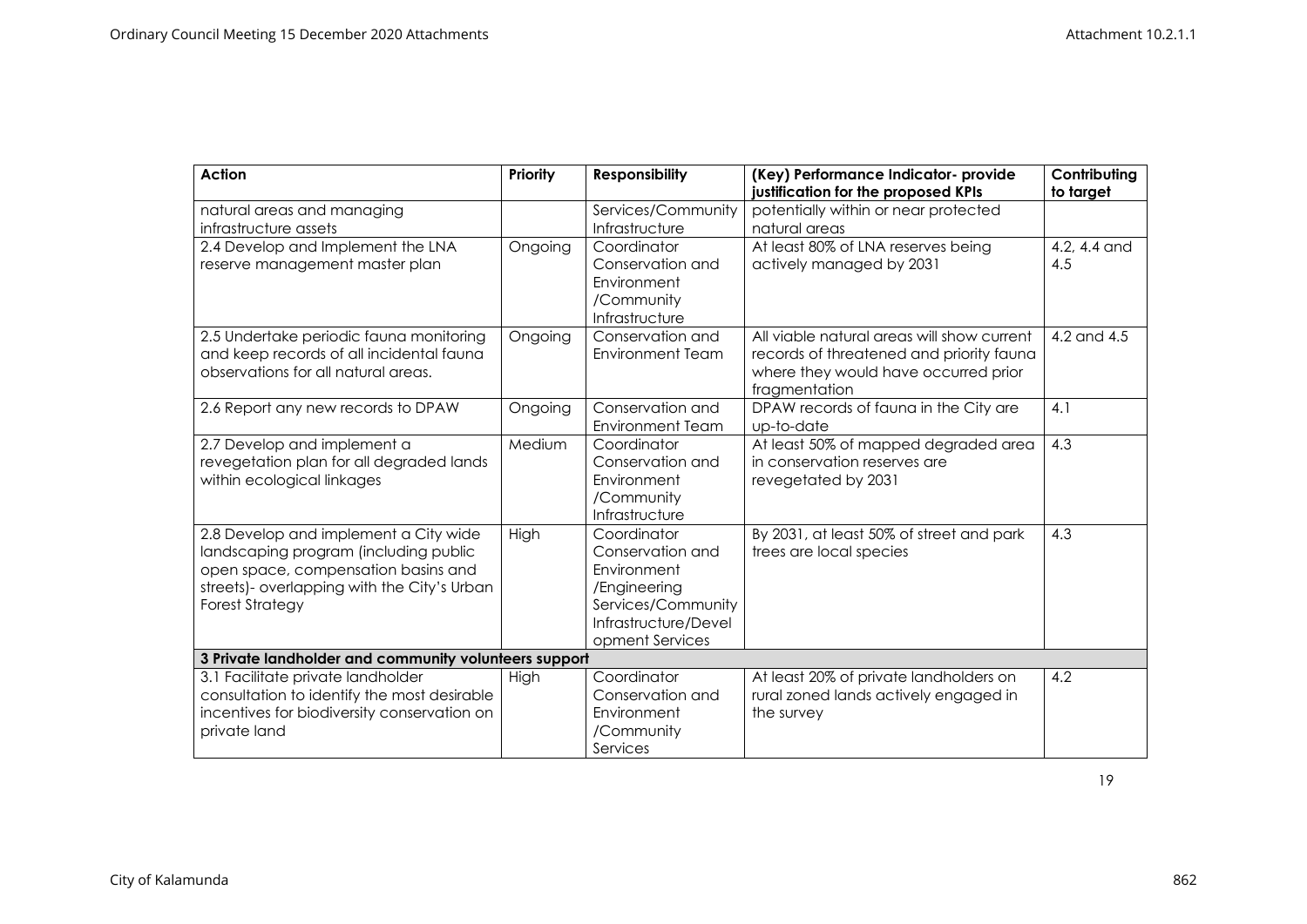| <b>Action</b>                                         | Priority | <b>Responsibility</b>   | (Key) Performance Indicator- provide<br>justification for the proposed KPIs | Contributing<br>to target |  |
|-------------------------------------------------------|----------|-------------------------|-----------------------------------------------------------------------------|---------------------------|--|
| natural areas and managing                            |          | Services/Community      | potentially within or near protected                                        |                           |  |
| infrastructure assets                                 |          | Infrastructure          | natural areas                                                               |                           |  |
| 2.4 Develop and Implement the LNA                     | Ongoing  | Coordinator             | At least 80% of LNA reserves being                                          | 4.2, 4.4 and              |  |
| reserve management master plan                        |          | Conservation and        | actively managed by 2031                                                    | 4.5                       |  |
|                                                       |          | Environment             |                                                                             |                           |  |
|                                                       |          | /Community              |                                                                             |                           |  |
|                                                       |          | Infrastructure          |                                                                             |                           |  |
| 2.5 Undertake periodic fauna monitoring               | Ongoing  | Conservation and        | All viable natural areas will show current                                  | 4.2 and $4.5$             |  |
| and keep records of all incidental fauna              |          | <b>Environment Team</b> | records of threatened and priority fauna                                    |                           |  |
| observations for all natural areas.                   |          |                         | where they would have occurred prior                                        |                           |  |
| 2.6 Report any new records to DPAW                    |          | Conservation and        | fragmentation<br>DPAW records of fauna in the City are                      | 4.1                       |  |
|                                                       | Ongoing  | <b>Environment Team</b> | up-to-date                                                                  |                           |  |
| 2.7 Develop and implement a                           | Medium   | Coordinator             | At least 50% of mapped degraded area                                        | 4.3                       |  |
| revegetation plan for all degraded lands              |          | Conservation and        | in conservation reserves are                                                |                           |  |
| within ecological linkages                            |          | Environment             | revegetated by 2031                                                         |                           |  |
|                                                       |          | /Community              |                                                                             |                           |  |
|                                                       |          | Infrastructure          |                                                                             |                           |  |
| 2.8 Develop and implement a City wide                 | High     | Coordinator             | By 2031, at least 50% of street and park                                    | 4.3                       |  |
| landscaping program (including public                 |          | Conservation and        | trees are local species                                                     |                           |  |
| open space, compensation basins and                   |          | Environment             |                                                                             |                           |  |
| streets)- overlapping with the City's Urban           |          | /Engineering            |                                                                             |                           |  |
| <b>Forest Strategy</b>                                |          | Services/Community      |                                                                             |                           |  |
|                                                       |          | Infrastructure/Devel    |                                                                             |                           |  |
|                                                       |          | opment Services         |                                                                             |                           |  |
| 3 Private landholder and community volunteers support |          |                         |                                                                             |                           |  |
| 3.1 Facilitate private landholder                     | High     | Coordinator             | At least 20% of private landholders on                                      | 4.2                       |  |
| consultation to identify the most desirable           |          | Conservation and        | rural zoned lands actively engaged in                                       |                           |  |
| incentives for biodiversity conservation on           |          | Environment             | the survey                                                                  |                           |  |
| private land                                          |          | /Community              |                                                                             |                           |  |
|                                                       |          | Services                |                                                                             |                           |  |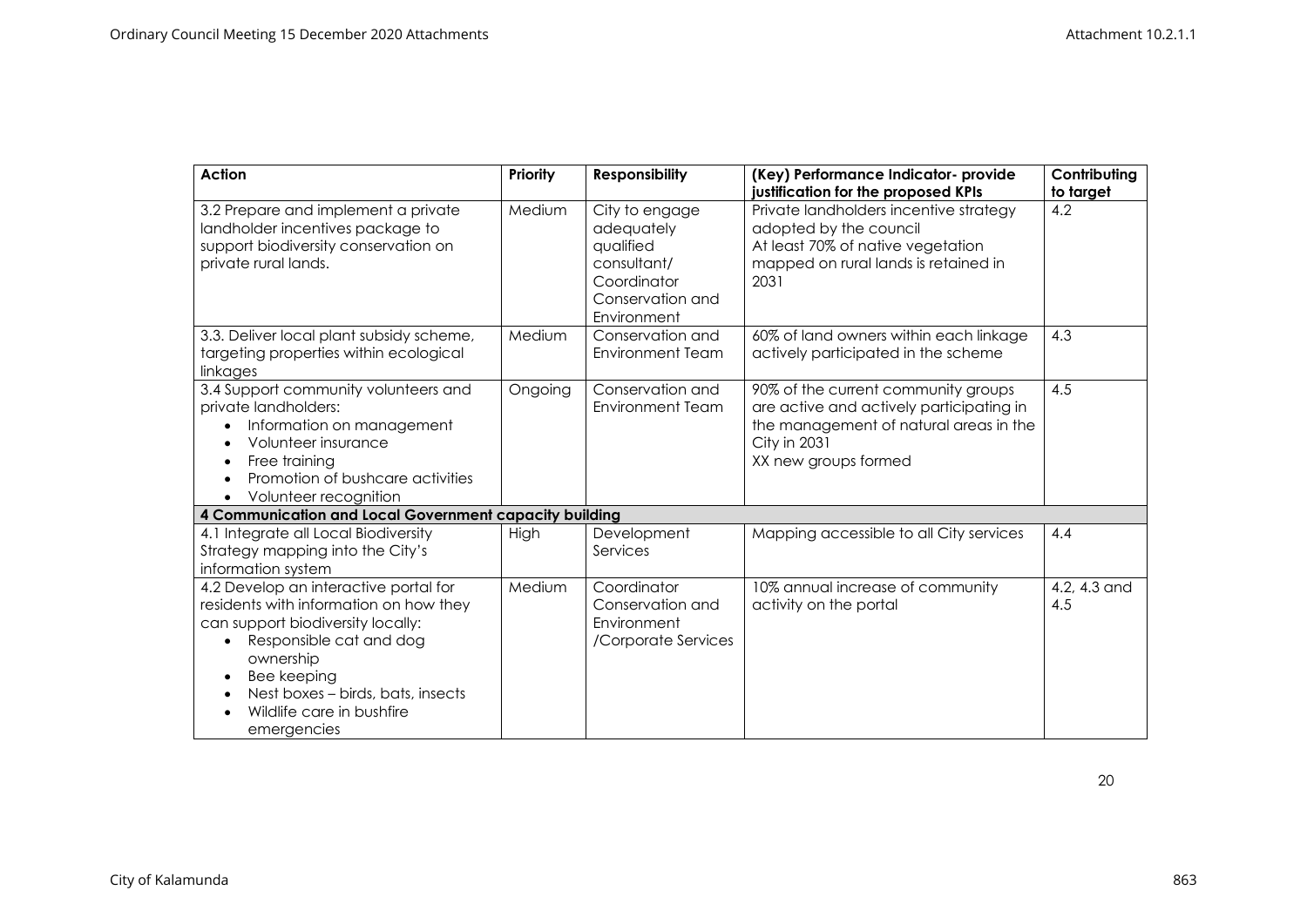| <b>Action</b>                                                                                                                                                                                                                                                     | Priority | <b>Responsibility</b>                                                                                      | (Key) Performance Indicator- provide<br>justification for the proposed KPIs                                                                                       | Contributing<br>to target |
|-------------------------------------------------------------------------------------------------------------------------------------------------------------------------------------------------------------------------------------------------------------------|----------|------------------------------------------------------------------------------------------------------------|-------------------------------------------------------------------------------------------------------------------------------------------------------------------|---------------------------|
| 3.2 Prepare and implement a private<br>landholder incentives package to<br>support biodiversity conservation on<br>private rural lands.                                                                                                                           | Medium   | City to engage<br>adequately<br>qualified<br>consultant/<br>Coordinator<br>Conservation and<br>Environment | Private landholders incentive strategy<br>adopted by the council<br>At least 70% of native vegetation<br>mapped on rural lands is retained in<br>2031             | 4.2                       |
| 3.3. Deliver local plant subsidy scheme,<br>targeting properties within ecological<br>linkages                                                                                                                                                                    | Medium   | Conservation and<br><b>Environment Team</b>                                                                | 60% of land owners within each linkage<br>actively participated in the scheme                                                                                     | 4.3                       |
| 3.4 Support community volunteers and<br>private landholders:<br>Information on management<br>Volunteer insurance<br>Free training<br>Promotion of bushcare activities<br>Volunteer recognition                                                                    | Ongoing  | Conservation and<br><b>Environment Team</b>                                                                | 90% of the current community groups<br>are active and actively participating in<br>the management of natural areas in the<br>City in 2031<br>XX new groups formed | 4.5                       |
| 4 Communication and Local Government capacity building                                                                                                                                                                                                            |          |                                                                                                            |                                                                                                                                                                   |                           |
| 4.1 Integrate all Local Biodiversity<br>Strategy mapping into the City's<br>information system                                                                                                                                                                    | High     | Development<br>Services                                                                                    | Mapping accessible to all City services                                                                                                                           | 4.4                       |
| 4.2 Develop an interactive portal for<br>residents with information on how they<br>can support biodiversity locally:<br>Responsible cat and dog<br>ownership<br>Bee keeping<br>٠<br>Nest boxes - birds, bats, insects<br>Wildlife care in bushfire<br>emergencies | Medium   | Coordinator<br>Conservation and<br>Environment<br>/Corporate Services                                      | 10% annual increase of community<br>activity on the portal                                                                                                        | 4.2, 4.3 and<br>4.5       |